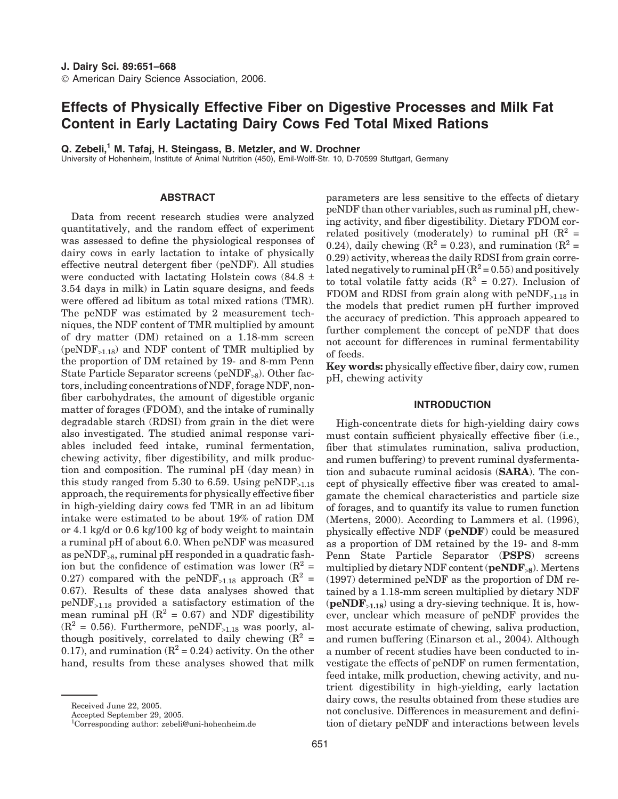# **Effects of Physically Effective Fiber on Digestive Processes and Milk Fat Content in Early Lactating Dairy Cows Fed Total Mixed Rations**

**Q. Zebeli,<sup>1</sup> M. Tafaj, H. Steingass, B. Metzler, and W. Drochner**

University of Hohenheim, Institute of Animal Nutrition (450), Emil-Wolff-Str. 10, D-70599 Stuttgart, Germany

# **ABSTRACT**

Data from recent research studies were analyzed quantitatively, and the random effect of experiment was assessed to define the physiological responses of dairy cows in early lactation to intake of physically effective neutral detergent fiber (peNDF). All studies were conducted with lactating Holstein cows  $(84.8 \pm$ 3.54 days in milk) in Latin square designs, and feeds were offered ad libitum as total mixed rations (TMR). The peNDF was estimated by 2 measurement techniques, the NDF content of TMR multiplied by amount of dry matter (DM) retained on a 1.18-mm screen  $(peNDF_{>1.18})$  and NDF content of TMR multiplied by the proportion of DM retained by 19- and 8-mm Penn State Particle Separator screens (peND $F_{\geq 8}$ ). Other factors, including concentrations of NDF, forage NDF, nonfiber carbohydrates, the amount of digestible organic matter of forages (FDOM), and the intake of ruminally degradable starch (RDSI) from grain in the diet were also investigated. The studied animal response variables included feed intake, ruminal fermentation, chewing activity, fiber digestibility, and milk production and composition. The ruminal pH (day mean) in this study ranged from 5.30 to 6.59. Using  $peNDF_{>1.18}$ approach, the requirements for physically effective fiber in high-yielding dairy cows fed TMR in an ad libitum intake were estimated to be about 19% of ration DM or 4.1 kg/d or 0.6 kg/100 kg of body weight to maintain a ruminal pH of about 6.0. When peNDF was measured as  $peNDF_{>8}$ , ruminal pH responded in a quadratic fashion but the confidence of estimation was lower  $(R^2 =$ 0.27) compared with the peNDF<sub>>1.18</sub> approach ( $\mathbb{R}^2$  = 0.67). Results of these data analyses showed that  $peNDF_{>1.18}$  provided a satisfactory estimation of the mean ruminal pH  $(R^2 = 0.67)$  and NDF digestibility  $(R^2 = 0.56)$ . Furthermore, peNDF<sub>>1.18</sub> was poorly, although positively, correlated to daily chewing  $(R^2 =$ 0.17), and rumination  $(R^2 = 0.24)$  activity. On the other hand, results from these analyses showed that milk parameters are less sensitive to the effects of dietary peNDF than other variables, such as ruminal pH, chewing activity, and fiber digestibility. Dietary FDOM correlated positively (moderately) to ruminal pH  $(R^2 =$ 0.24), daily chewing  $(R^2 = 0.23)$ , and rumination  $(R^2 = 0.24)$ 0.29) activity, whereas the daily RDSI from grain correlated negatively to ruminal  $pH (R^2 = 0.55)$  and positively to total volatile fatty acids  $(R^2 = 0.27)$ . Inclusion of FDOM and RDSI from grain along with  $peNDF_{>1.18}$  in the models that predict rumen pH further improved the accuracy of prediction. This approach appeared to further complement the concept of peNDF that does not account for differences in ruminal fermentability of feeds.

**Key words:** physically effective fiber, dairy cow, rumen pH, chewing activity

# **INTRODUCTION**

High-concentrate diets for high-yielding dairy cows must contain sufficient physically effective fiber (i.e., fiber that stimulates rumination, saliva production, and rumen buffering) to prevent ruminal dysfermentation and subacute ruminal acidosis (**SARA**). The concept of physically effective fiber was created to amalgamate the chemical characteristics and particle size of forages, and to quantify its value to rumen function (Mertens, 2000). According to Lammers et al. (1996), physically effective NDF (**peNDF**) could be measured as a proportion of DM retained by the 19- and 8-mm Penn State Particle Separator (**PSPS**) screens multiplied by dietary NDF content (**peNDF**>**<sup>8</sup>**). Mertens (1997) determined peNDF as the proportion of DM retained by a 1.18-mm screen multiplied by dietary NDF (**peNDF**>**1.18**) using a dry-sieving technique. It is, however, unclear which measure of peNDF provides the most accurate estimate of chewing, saliva production, and rumen buffering (Einarson et al., 2004). Although a number of recent studies have been conducted to investigate the effects of peNDF on rumen fermentation, feed intake, milk production, chewing activity, and nutrient digestibility in high-yielding, early lactation dairy cows, the results obtained from these studies are not conclusive. Differences in measurement and definition of dietary peNDF and interactions between levels

Received June 22, 2005.

Accepted September 29, 2005.

<sup>1</sup> Corresponding author: zebeli@uni-hohenheim.de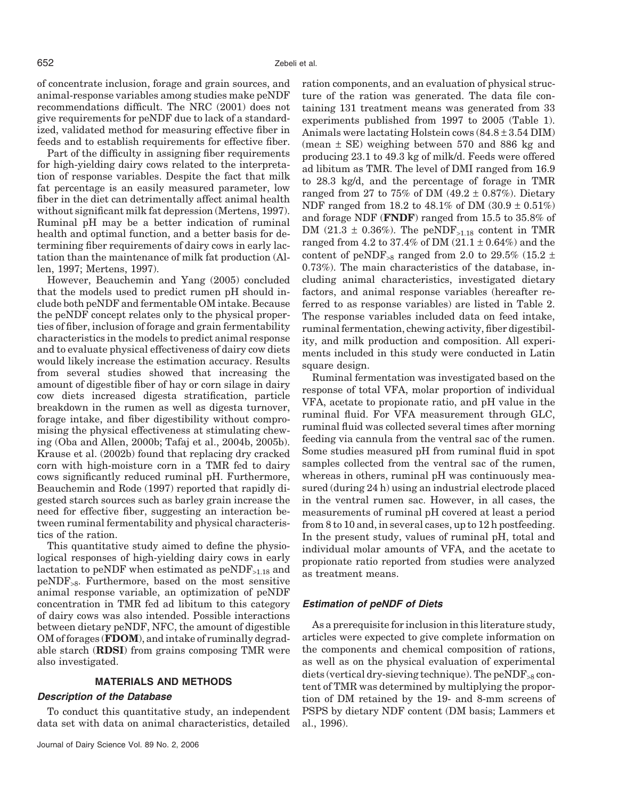of concentrate inclusion, forage and grain sources, and animal-response variables among studies make peNDF recommendations difficult. The NRC (2001) does not give requirements for peNDF due to lack of a standardized, validated method for measuring effective fiber in feeds and to establish requirements for effective fiber.

Part of the difficulty in assigning fiber requirements for high-yielding dairy cows related to the interpretation of response variables. Despite the fact that milk fat percentage is an easily measured parameter, low fiber in the diet can detrimentally affect animal health without significant milk fat depression (Mertens, 1997). Ruminal pH may be a better indication of ruminal health and optimal function, and a better basis for determining fiber requirements of dairy cows in early lactation than the maintenance of milk fat production (Allen, 1997; Mertens, 1997).

However, Beauchemin and Yang (2005) concluded that the models used to predict rumen pH should include both peNDF and fermentable OM intake. Because the peNDF concept relates only to the physical properties of fiber, inclusion of forage and grain fermentability characteristics in the models to predict animal response and to evaluate physical effectiveness of dairy cow diets would likely increase the estimation accuracy. Results from several studies showed that increasing the amount of digestible fiber of hay or corn silage in dairy cow diets increased digesta stratification, particle breakdown in the rumen as well as digesta turnover, forage intake, and fiber digestibility without compromising the physical effectiveness at stimulating chewing (Oba and Allen, 2000b; Tafaj et al., 2004b, 2005b). Krause et al. (2002b) found that replacing dry cracked corn with high-moisture corn in a TMR fed to dairy cows significantly reduced ruminal pH. Furthermore, Beauchemin and Rode (1997) reported that rapidly digested starch sources such as barley grain increase the need for effective fiber, suggesting an interaction between ruminal fermentability and physical characteristics of the ration.

This quantitative study aimed to define the physiological responses of high-yielding dairy cows in early lactation to peNDF when estimated as  $peNDF_{>1.18}$  and peNDF>8. Furthermore, based on the most sensitive animal response variable, an optimization of peNDF concentration in TMR fed ad libitum to this category of dairy cows was also intended. Possible interactions between dietary peNDF, NFC, the amount of digestible OM of forages (**FDOM**), and intake of ruminally degradable starch (**RDSI**) from grains composing TMR were also investigated.

# **MATERIALS AND METHODS**

#### *Description of the Database*

To conduct this quantitative study, an independent data set with data on animal characteristics, detailed ration components, and an evaluation of physical structure of the ration was generated. The data file containing 131 treatment means was generated from 33 experiments published from 1997 to 2005 (Table 1). Animals were lactating Holstein cows  $(84.8 \pm 3.54 \text{ DIM})$ (mean ± SE) weighing between 570 and 886 kg and producing 23.1 to 49.3 kg of milk/d. Feeds were offered ad libitum as TMR. The level of DMI ranged from 16.9 to 28.3 kg/d, and the percentage of forage in TMR ranged from 27 to 75% of DM  $(49.2 \pm 0.87%)$ . Dietary NDF ranged from 18.2 to  $48.1\%$  of DM  $(30.9 \pm 0.51\%)$ and forage NDF (**FNDF**) ranged from 15.5 to 35.8% of DM (21.3  $\pm$  0.36%). The peNDF<sub>>1.18</sub> content in TMR ranged from 4.2 to 37.4% of DM  $(21.1 \pm 0.64%)$  and the content of peNDF<sub>>8</sub> ranged from 2.0 to 29.5% (15.2  $\pm$ 0.73%). The main characteristics of the database, including animal characteristics, investigated dietary factors, and animal response variables (hereafter referred to as response variables) are listed in Table 2. The response variables included data on feed intake, ruminal fermentation, chewing activity, fiber digestibility, and milk production and composition. All experiments included in this study were conducted in Latin square design.

Ruminal fermentation was investigated based on the response of total VFA, molar proportion of individual VFA, acetate to propionate ratio, and pH value in the ruminal fluid. For VFA measurement through GLC, ruminal fluid was collected several times after morning feeding via cannula from the ventral sac of the rumen. Some studies measured pH from ruminal fluid in spot samples collected from the ventral sac of the rumen, whereas in others, ruminal pH was continuously measured (during 24 h) using an industrial electrode placed in the ventral rumen sac. However, in all cases, the measurements of ruminal pH covered at least a period from 8 to 10 and, in several cases, up to 12 h postfeeding. In the present study, values of ruminal pH, total and individual molar amounts of VFA, and the acetate to propionate ratio reported from studies were analyzed as treatment means.

# *Estimation of peNDF of Diets*

As a prerequisite for inclusion in this literature study, articles were expected to give complete information on the components and chemical composition of rations, as well as on the physical evaluation of experimental diets (vertical dry-sieving technique). The peNDF<sub>>8</sub> content of TMR was determined by multiplying the proportion of DM retained by the 19- and 8-mm screens of PSPS by dietary NDF content (DM basis; Lammers et al., 1996).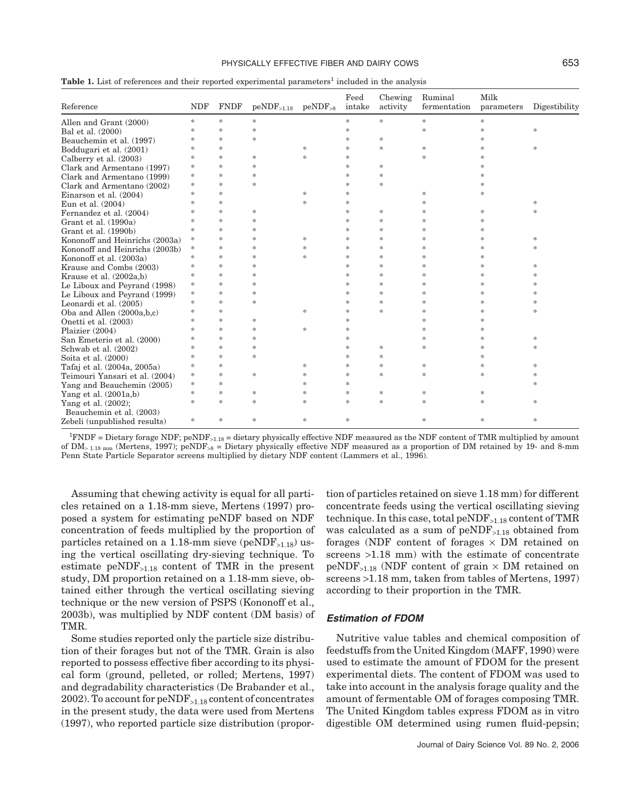#### PHYSICALLY EFFECTIVE FIBER AND DAIRY COWS 653

| Reference                      | <b>NDF</b>    | <b>FNDF</b>   | $peNDF_{>1.18}$ | $peNDF_{\leq 8}$ | Feed<br>intake | Chewing<br>activity | Ruminal<br>fermentation | Milk<br>parameters | Digestibility |
|--------------------------------|---------------|---------------|-----------------|------------------|----------------|---------------------|-------------------------|--------------------|---------------|
| Allen and Grant (2000)         | $\frac{1}{2}$ | $\ast$        | $\ast$          |                  | $\frac{1}{2}$  | $\frac{1}{2}$       | $\ast$                  | $\frac{1}{2}$      |               |
| Bal et al. (2000)              | $*$           | $\ast$        | $\frac{1}{2}$   |                  | ∗              |                     | *                       | *                  | *             |
| Beauchemin et al. (1997)       | $\ast$        | $\frac{1}{2}$ | $\frac{1}{25}$  |                  | $\ast$         | $\frac{1}{25}$      |                         | *                  |               |
| Boddugari et al. (2001)        | $\ast$        | $\ast$        |                 | *                | *              | $\frac{1}{25}$      | $\ast$                  | *                  | *             |
| Calberry et al. (2003)         | $\ast$        | $\ast$        | $\ast$          | $\frac{1}{2}$    | $\frac{1}{2}$  |                     | $\frac{1}{2}$           | $\ast$             |               |
| Clark and Armentano (1997)     | *             | *             | $\frac{1}{2}$   |                  | $\ast$         | *                   |                         | 冰                  |               |
| Clark and Armentano (1999)     | *             | *             | $\frac{1}{2}$   |                  | $\ast$         | *                   |                         | 冰                  |               |
| Clark and Armentano (2002)     | $\frac{1}{2}$ | $\ast$        | $\frac{1}{2}$   |                  | *              | $\frac{1}{25}$      |                         | *                  |               |
| Einarson et al. (2004)         | $\ast$        | *             |                 | *                | ∗              |                     | *                       | *                  |               |
| Eun et al. (2004)              | *             | *             |                 | $\frac{1}{2}$    | $\ast$         |                     | *                       |                    | $\frac{1}{2}$ |
| Fernandez et al. (2004)        | *             | *             | $\ast$          |                  | $\ast$         | $\frac{1}{2}$       | *                       | *                  | ×,            |
| Grant et al. (1990a)           | *             | *             | $\frac{1}{2}$   |                  | *              | *                   | *                       | *                  |               |
| Grant et al. (1990b)           | $\ast$        | $\ast$        | $\frac{1}{2}$   |                  | $\ast$         | *                   | *                       | *                  |               |
| Kononoff and Heinrichs (2003a) | *             | $\ast$        | $\frac{1}{2}$   | $\frac{1}{2}$    | $\ast$         | *                   | *                       | *                  | *             |
| Kononoff and Heinrichs (2003b) | *             | $\ast$        | $\frac{1}{2}$   | $\frac{1}{2}$    | $\ast$         | *                   | *                       | $\ast$             | $\frac{1}{2}$ |
| Kononoff et al. (2003a)        | $*$           | *             | $\frac{1}{2}$   | *                | $\ast$         | *                   | *                       | *                  |               |
| Krause and Combs (2003)        | *             | *             | $\frac{1}{2}$   |                  | $\ast$         | $\frac{1}{2}$       | *                       | *                  | $\frac{1}{2}$ |
| Krause et al. (2002a,b)        | *             | *             | $\frac{1}{2}$   |                  | ∗              | *                   | *                       | *                  | *             |
| Le Liboux and Peyrand (1998)   | *             | $\ast$        | $\frac{1}{2}$   |                  | $\ast$         | *                   | *                       | *                  | ×             |
| Le Liboux and Peyrand (1999)   | *             | $\ast$        | $\frac{1}{25}$  |                  | $\ast$         | $\frac{1}{25}$      | *                       | *                  | *             |
| Leonardi et al. (2005)         | $*$           | *             | $\frac{1}{2}$   |                  | *              | *                   | *                       | *                  | *             |
| Oba and Allen $(2000a,b,c)$    | *             | $\ast$        |                 | $\frac{1}{2}$    | *              | 宋                   | *                       | *                  | *             |
| Onetti et al. (2003)           | *             | *             | $\ast$          |                  | *              |                     | *                       | *                  |               |
| Plaizier (2004)                | $*$           | *             | $\gg$           | *                | ∗              |                     | *                       | *                  |               |
| San Emeterio et al. (2000)     | *             | $\ast$        | $\frac{1}{2}$   |                  | $\ast$         |                     | *                       | 冰                  | *             |
| Schwab et al. (2002)           | *             | *             | $\frac{1}{2}$   |                  | *              | *                   | *                       | *                  | *             |
| Soita et al. $(2000)$          | $*$           | $\ast$        | $\frac{1}{2}$   |                  | $\ast$         | $\frac{1}{25}$      |                         | *                  |               |
| Tafaj et al. (2004a, 2005a)    | *             | *             |                 | *                | *              | $\frac{1}{2}$       | $\ast$                  | *                  | *             |
| Teimouri Yansari et al. (2004) | *             | $\ast$        | $\gg$           | *                | *              | $\frac{1}{2}$       | $*$                     | *                  | *             |
| Yang and Beauchemin (2005)     | *             | *             |                 | *                | *              |                     |                         |                    | *             |
| Yang et al. $(2001a,b)$        | $\frac{1}{2}$ | $\ast$        | $\ast$          | *                | $\frac{1}{2}$  | $\frac{1}{2}$       | *                       | *                  |               |
| Yang et al. (2002);            | $\frac{1}{2}$ | $\frac{1}{2}$ | $\gg$           | $\frac{1}{2}$    | $\frac{1}{2}$  | $\frac{1}{25}$      | $*$                     | $\frac{1}{2}$      | $\frac{1}{2}$ |
| Beauchemin et al. (2003)       |               |               |                 |                  |                |                     |                         |                    |               |
| Zebeli (unpublished results)   | *             | *             | $\frac{1}{2}$   | $\frac{1}{2}$    | *              |                     | *                       | $\frac{1}{2}$      | $\frac{1}{2}$ |

**Table 1.** List of references and their reported experimental parameters<sup>1</sup> included in the analysis

 ${}^{1}\text{FNDF}$  = Dietary forage NDF; peNDF<sub>>1.18</sub> = dietary physically effective NDF measured as the NDF content of TMR multiplied by amount of  $\text{DM}_{>1.18 \text{ mm}}$  (Mertens, 1997); peNDF<sub>>8</sub> = Dietary physically effective NDF measured as a proportion of DM retained by 19- and 8-mm Penn State Particle Separator screens multiplied by dietary NDF content (Lammers et al., 1996).

Assuming that chewing activity is equal for all particles retained on a 1.18-mm sieve, Mertens (1997) proposed a system for estimating peNDF based on NDF concentration of feeds multiplied by the proportion of particles retained on a 1.18-mm sieve (peND $F_{>1.18}$ ) using the vertical oscillating dry-sieving technique. To estimate  $peNDF_{>1.18}$  content of TMR in the present study, DM proportion retained on a 1.18-mm sieve, obtained either through the vertical oscillating sieving technique or the new version of PSPS (Kononoff et al., 2003b), was multiplied by NDF content (DM basis) of TMR.

Some studies reported only the particle size distribution of their forages but not of the TMR. Grain is also reported to possess effective fiber according to its physical form (ground, pelleted, or rolled; Mertens, 1997) and degradability characteristics (De Brabander et al., 2002). To account for peNDF>1.18 content of concentrates in the present study, the data were used from Mertens (1997), who reported particle size distribution (propor-

tion of particles retained on sieve 1.18 mm) for different concentrate feeds using the vertical oscillating sieving technique. In this case, total peNDF<sub>>1.18</sub> content of TMR was calculated as a sum of  $peNDF_{>1.18}$  obtained from forages (NDF content of forages  $\times$  DM retained on screens >1.18 mm) with the estimate of concentrate  $peNDF_{>1.18}$  (NDF content of grain  $\times$  DM retained on screens >1.18 mm, taken from tables of Mertens, 1997) according to their proportion in the TMR.

### *Estimation of FDOM*

Nutritive value tables and chemical composition of feedstuffs from the United Kingdom (MAFF, 1990) were used to estimate the amount of FDOM for the present experimental diets. The content of FDOM was used to take into account in the analysis forage quality and the amount of fermentable OM of forages composing TMR. The United Kingdom tables express FDOM as in vitro digestible OM determined using rumen fluid-pepsin;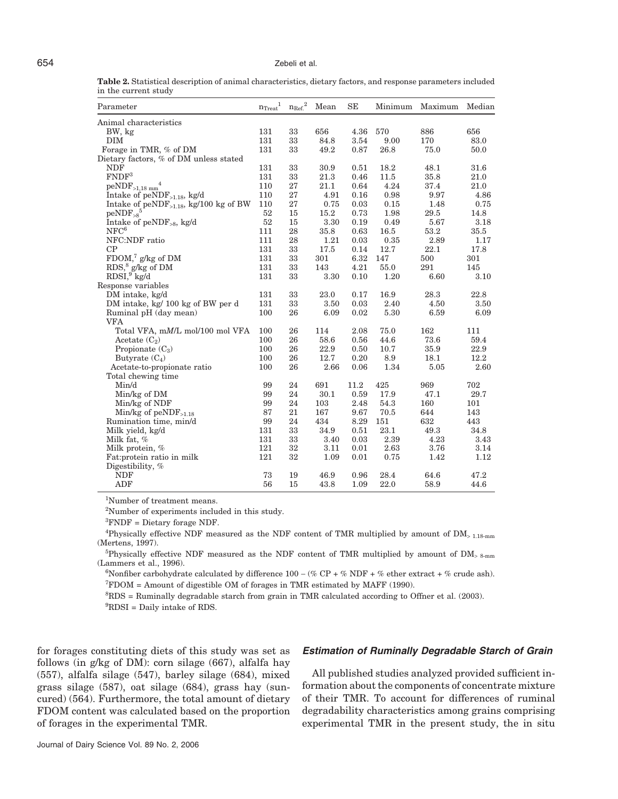**Table 2.** Statistical description of animal characteristics, dietary factors, and response parameters included in the current study

| Parameter                                   | $n_{\mathrm{Treat}}{}^1$ | ${n_{\rm Ref.}}^2$ | Mean | SE   | Minimum | Maximum | Median   |
|---------------------------------------------|--------------------------|--------------------|------|------|---------|---------|----------|
| Animal characteristics                      |                          |                    |      |      |         |         |          |
| BW, kg                                      | 131                      | 33                 | 656  | 4.36 | 570     | 886     | 656      |
| DIM                                         | 131                      | 33                 | 84.8 | 3.54 | 9.00    | 170     | 83.0     |
| Forage in TMR, % of DM                      | 131                      | 33                 | 49.2 | 0.87 | 26.8    | 75.0    | $50.0\,$ |
| Dietary factors, % of DM unless stated      |                          |                    |      |      |         |         |          |
| <b>NDF</b>                                  | 131                      | 33                 | 30.9 | 0.51 | 18.2    | 48.1    | 31.6     |
| FNDF <sup>3</sup>                           | 131                      | 33                 | 21.3 | 0.46 | 11.5    | 35.8    | 21.0     |
| $peNDF_{>1,18 \text{ mm}}^4$                | 110                      | 27                 | 21.1 | 0.64 | 4.24    | 37.4    | 21.0     |
| Intake of $peNDF_{>1.18}$ , kg/d            | 110                      | 27                 | 4.91 | 0.16 | 0.98    | 9.97    | 4.86     |
| Intake of $peNDF_{>1.18}$ , kg/100 kg of BW | 110                      | 27                 | 0.75 | 0.03 | 0.15    | 1.48    | 0.75     |
| $peNDF_{>8}^5$                              | 52                       | 15                 | 15.2 | 0.73 | 1.98    | 29.5    | 14.8     |
| Intake of $peNDF_{>8}$ , kg/d               | 52                       | 15                 | 3.30 | 0.19 | 0.49    | 5.67    | 3.18     |
| NFC <sup>6</sup>                            | 111                      | 28                 | 35.8 | 0.63 | 16.5    | 53.2    | 35.5     |
| NFC:NDF ratio                               | 111                      | 28                 | 1.21 | 0.03 | 0.35    | 2.89    | 1.17     |
| CP                                          | 131                      | 33                 | 17.5 | 0.14 | 12.7    | 22.1    | 17.8     |
| $\mathrm{FDOM},{}^{7}\mathrm{g/kg}$ of DM   | 131                      | 33                 | 301  | 6.32 | 147     | 500     | 301      |
| $RDS$ , <sup>8</sup> g/kg of DM             | 131                      | 33                 | 143  | 4.21 | 55.0    | 291     | 145      |
| $RDSI, 9$ kg/d                              | 131                      | 33                 | 3.30 | 0.10 | 1.20    | 6.60    | 3.10     |
| Response variables                          |                          |                    |      |      |         |         |          |
| DM intake, kg/d                             | 131                      | 33                 | 23.0 | 0.17 | 16.9    | 28.3    | 22.8     |
| DM intake, kg/ 100 kg of BW per d           | 131                      | 33                 | 3.50 | 0.03 | 2.40    | 4.50    | 3.50     |
| Ruminal pH (day mean)                       | 100                      | 26                 | 6.09 | 0.02 | 5.30    | 6.59    | 6.09     |
| <b>VFA</b>                                  |                          |                    |      |      |         |         |          |
| Total VFA, mM/L mol/100 mol VFA             | 100                      | 26                 | 114  | 2.08 | 75.0    | 162     | 111      |
| Acetate $(C_2)$                             | 100                      | 26                 | 58.6 | 0.56 | 44.6    | 73.6    | 59.4     |
| Propionate $(C_3)$                          | 100                      | 26                 | 22.9 | 0.50 | 10.7    | 35.9    | 22.9     |
| Butyrate $(C_4)$                            | 100                      | 26                 | 12.7 | 0.20 | 8.9     | 18.1    | 12.2     |
| Acetate-to-propionate ratio                 | 100                      | 26                 | 2.66 | 0.06 | 1.34    | 5.05    | 2.60     |
| Total chewing time                          |                          |                    |      |      |         |         |          |
| Min/d                                       | 99                       | 24                 | 691  | 11.2 | 425     | 969     | 702      |
| Min/kg of DM                                | 99                       | 24                 | 30.1 | 0.59 | 17.9    | 47.1    | 29.7     |
| Min/kg of NDF                               | 99                       | 24                 | 103  | 2.48 | 54.3    | 160     | 101      |
| Min/kg of $peNDF_{>1.18}$                   | 87                       | 21                 | 167  | 9.67 | 70.5    | 644     | 143      |
| Rumination time, min/d                      | 99                       | 24                 | 434  | 8.29 | 151     | 632     | 443      |
| Milk yield, kg/d                            | 131                      | 33                 | 34.9 | 0.51 | 23.1    | 49.3    | 34.8     |
| Milk fat, $%$                               | 131                      | 33                 | 3.40 | 0.03 | 2.39    | 4.23    | 3.43     |
| Milk protein, %                             | 121                      | 32                 | 3.11 | 0.01 | 2.63    | 3.76    | 3.14     |
| Fat:protein ratio in milk                   | 121                      | 32                 | 1.09 | 0.01 | 0.75    | 1.42    | 1.12     |
| Digestibility, %                            |                          |                    |      |      |         |         |          |
| <b>NDF</b>                                  | 73                       | 19                 | 46.9 | 0.96 | 28.4    | 64.6    | 47.2     |
| ADF                                         | 56                       | 15                 | 43.8 | 1.09 | 22.0    | 58.9    | 44.6     |

1 Number of treatment means.

2 Number of experiments included in this study.

3 FNDF = Dietary forage NDF.

<sup>4</sup>Physically effective NDF measured as the NDF content of TMR multiplied by amount of  $DM_{> 1.18 mm}$ (Mertens, 1997).

<sup>5</sup>Physically effective NDF measured as the NDF content of TMR multiplied by amount of DM<sub>>8-mm</sub> (Lammers et al., 1996).

<sup>6</sup>Nonfiber carbohydrate calculated by difference  $100 - (\% \text{ CP} + \% \text{ NDF} + \% \text{ ether extract} + \% \text{ crude ash}).$  $T_{\rm FDOM}$  = Amount of digestible OM of forages in TMR estimated by MAFF (1990).

8 RDS = Ruminally degradable starch from grain in TMR calculated according to Offner et al. (2003). 9 RDSI = Daily intake of RDS.

for forages constituting diets of this study was set as follows (in g/kg of DM): corn silage (667), alfalfa hay (557), alfalfa silage (547), barley silage (684), mixed grass silage (587), oat silage (684), grass hay (suncured) (564). Furthermore, the total amount of dietary FDOM content was calculated based on the proportion of forages in the experimental TMR.

# *Estimation of Ruminally Degradable Starch of Grain*

All published studies analyzed provided sufficient information about the components of concentrate mixture of their TMR. To account for differences of ruminal degradability characteristics among grains comprising experimental TMR in the present study, the in situ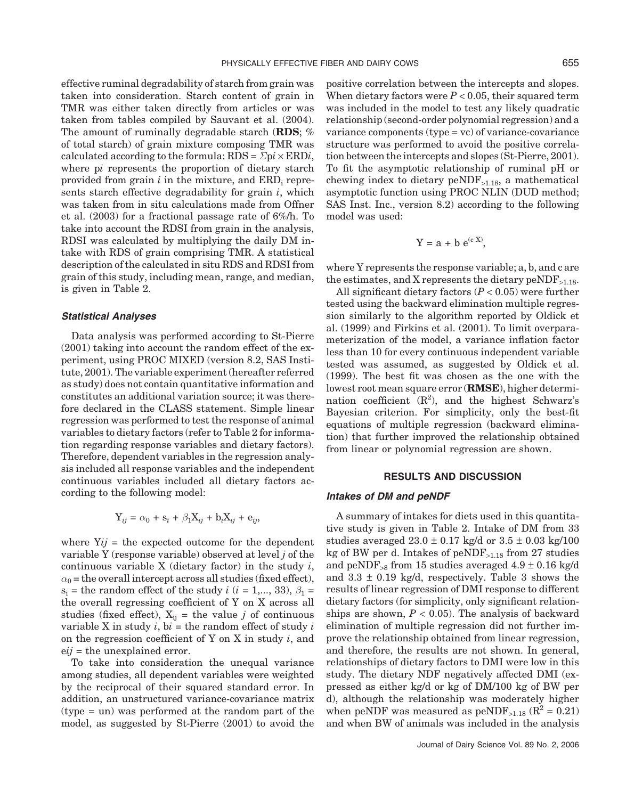effective ruminal degradability of starch from grain was taken into consideration. Starch content of grain in TMR was either taken directly from articles or was taken from tables compiled by Sauvant et al. (2004). The amount of ruminally degradable starch (**RDS**; % of total starch) of grain mixture composing TMR was calculated according to the formula:  $RDS = \Sigma pi \times ERDi$ , where p*i* represents the proportion of dietary starch provided from grain *i* in the mixture, and ERDi represents starch effective degradability for grain *i*, which was taken from in situ calculations made from Offner et al. (2003) for a fractional passage rate of 6%/h. To take into account the RDSI from grain in the analysis, RDSI was calculated by multiplying the daily DM intake with RDS of grain comprising TMR. A statistical description of the calculated in situ RDS and RDSI from grain of this study, including mean, range, and median, is given in Table 2.

#### *Statistical Analyses*

Data analysis was performed according to St-Pierre (2001) taking into account the random effect of the experiment, using PROC MIXED (version 8.2, SAS Institute, 2001). The variable experiment (hereafter referred as study) does not contain quantitative information and constitutes an additional variation source; it was therefore declared in the CLASS statement. Simple linear regression was performed to test the response of animal variables to dietary factors (refer to Table 2 for information regarding response variables and dietary factors). Therefore, dependent variables in the regression analysis included all response variables and the independent continuous variables included all dietary factors according to the following model:

$$
Y_{ij} = \alpha_0 + s_i + \beta_1 X_{ij} + b_i X_{ij} + e_{ij},
$$

where  $Yij =$  the expected outcome for the dependent variable Y (response variable) observed at level *j* of the continuous variable X (dietary factor) in the study *i*,  $\alpha_0$  = the overall intercept across all studies (fixed effect),  $s_i$  = the random effect of the study *i* (*i* = 1,..., 33),  $\beta_1$  = the overall regressing coefficient of Y on X across all studies (fixed effect),  $X_{ij}$  = the value *j* of continuous variable X in study  $i$ ,  $bi$  = the random effect of study  $i$ on the regression coefficient of Y on X in study *i*, and e*ij* = the unexplained error.

To take into consideration the unequal variance among studies, all dependent variables were weighted by the reciprocal of their squared standard error. In addition, an unstructured variance-covariance matrix (type = un) was performed at the random part of the model, as suggested by St-Pierre (2001) to avoid the

positive correlation between the intercepts and slopes. When dietary factors were  $P < 0.05$ , their squared term was included in the model to test any likely quadratic relationship (second-order polynomial regression) and a variance components (type = vc) of variance-covariance structure was performed to avoid the positive correlation between the intercepts and slopes (St-Pierre, 2001). To fit the asymptotic relationship of ruminal pH or chewing index to dietary  $peNDF_{>1.18}$ , a mathematical asymptotic function using PROC NLIN (DUD method; SAS Inst. Inc., version 8.2) according to the following model was used:

$$
Y = a + b e^{(c X)},
$$

where Y represents the response variable; a, b, and c are the estimates, and X represents the dietary  $peNDF_{>1.18}$ .

All significant dietary factors (*P* < 0.05) were further tested using the backward elimination multiple regression similarly to the algorithm reported by Oldick et al. (1999) and Firkins et al. (2001). To limit overparameterization of the model, a variance inflation factor less than 10 for every continuous independent variable tested was assumed, as suggested by Oldick et al. (1999). The best fit was chosen as the one with the lowest root mean square error (**RMSE**), higher determination coefficient  $(R^2)$ , and the highest Schwarz's Bayesian criterion. For simplicity, only the best-fit equations of multiple regression (backward elimination) that further improved the relationship obtained from linear or polynomial regression are shown.

#### **RESULTS AND DISCUSSION**

#### *Intakes of DM and peNDF*

A summary of intakes for diets used in this quantitative study is given in Table 2. Intake of DM from 33 studies averaged  $23.0 \pm 0.17$  kg/d or  $3.5 \pm 0.03$  kg/100 kg of BW per d. Intakes of  $peNDF_{>1.18}$  from 27 studies and peNDF<sub>>8</sub> from 15 studies averaged  $4.9 \pm 0.16$  kg/d and  $3.3 \pm 0.19$  kg/d, respectively. Table 3 shows the results of linear regression of DMI response to different dietary factors (for simplicity, only significant relationships are shown,  $P < 0.05$ ). The analysis of backward elimination of multiple regression did not further improve the relationship obtained from linear regression, and therefore, the results are not shown. In general, relationships of dietary factors to DMI were low in this study. The dietary NDF negatively affected DMI (expressed as either kg/d or kg of DM/100 kg of BW per d), although the relationship was moderately higher when peNDF was measured as  $peNDF_{>1.18}$  ( $R^2 = 0.21$ ) and when BW of animals was included in the analysis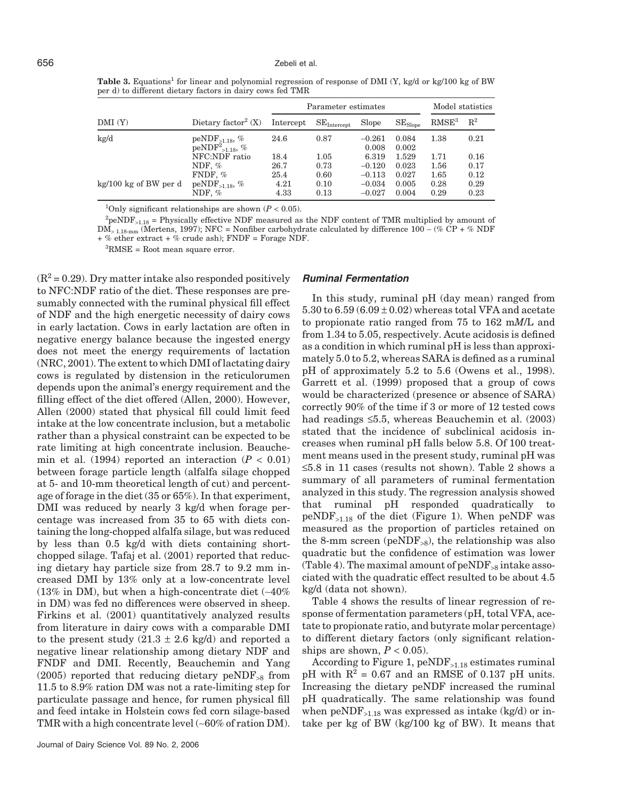Table 3. Equations<sup>1</sup> for linear and polynomial regression of response of DMI (Y, kg/d or kg/100 kg of BW per d) to different dietary factors in dairy cows fed TMR

|                       |                                               |              | Parameter estimates  |                      | Model statistics |                   |                |
|-----------------------|-----------------------------------------------|--------------|----------------------|----------------------|------------------|-------------------|----------------|
| DMI(Y)                | Dietary factor <sup>2</sup> $(X)$             | Intercept    | $SE_{\rm Intercept}$ | Slope                | $SE_{Slope}$     | RMSE <sup>3</sup> | $\mathbb{R}^2$ |
| kg/d                  | $peNDF_{>1.18}, %$<br>$peNDF^{2}_{>1.18}, \%$ | 24.6         | 0.87                 | $-0.261$<br>0.008    | 0.084<br>0.002   | 1.38              | 0.21           |
|                       | NFC:NDF ratio                                 | 18.4         | 1.05                 | 6.319                | 1.529            | 1.71              | 0.16           |
|                       | NDF, $%$<br>FNDF, $%$                         | 26.7<br>25.4 | 0.73<br>0.60         | $-0.120$<br>$-0.113$ | 0.023<br>0.027   | 1.56<br>1.65      | 0.17<br>0.12   |
| kg/100 kg of BW per d | $peNDF_{>1.18}$ , %<br>NDF, $%$               | 4.21<br>4.33 | 0.10<br>0.13         | $-0.034$<br>$-0.027$ | 0.005<br>0.004   | 0.28<br>0.29      | 0.29<br>0.23   |

<sup>1</sup>Only significant relationships are shown  $(P < 0.05)$ .

 ${}^{2}$ peNDF<sub>>1.18</sub> = Physically effective NDF measured as the NDF content of TMR multiplied by amount of DM<sup>&</sup>gt; 1.18-mm (Mertens, 1997); NFC = Nonfiber carbohydrate calculated by difference 100 − (% CP + % NDF + % ether extract + % crude ash); FNDF = Forage NDF.

3 RMSE = Root mean square error.

 $(R^2 = 0.29)$ . Dry matter intake also responded positively to NFC:NDF ratio of the diet. These responses are presumably connected with the ruminal physical fill effect of NDF and the high energetic necessity of dairy cows in early lactation. Cows in early lactation are often in negative energy balance because the ingested energy does not meet the energy requirements of lactation (NRC, 2001). The extent to which DMI of lactating dairy cows is regulated by distension in the reticulorumen depends upon the animal's energy requirement and the filling effect of the diet offered (Allen, 2000). However, Allen (2000) stated that physical fill could limit feed intake at the low concentrate inclusion, but a metabolic rather than a physical constraint can be expected to be rate limiting at high concentrate inclusion. Beauchemin et al.  $(1994)$  reported an interaction  $(P < 0.01)$ between forage particle length (alfalfa silage chopped at 5- and 10-mm theoretical length of cut) and percentage of forage in the diet (35 or 65%). In that experiment, DMI was reduced by nearly 3 kg/d when forage percentage was increased from 35 to 65 with diets containing the long-chopped alfalfa silage, but was reduced by less than 0.5 kg/d with diets containing shortchopped silage. Tafaj et al. (2001) reported that reducing dietary hay particle size from 28.7 to 9.2 mm increased DMI by 13% only at a low-concentrate level (13% in DM), but when a high-concentrate diet (∼40% in DM) was fed no differences were observed in sheep. Firkins et al. (2001) quantitatively analyzed results from literature in dairy cows with a comparable DMI to the present study  $(21.3 \pm 2.6 \text{ kg/d})$  and reported a negative linear relationship among dietary NDF and FNDF and DMI. Recently, Beauchemin and Yang  $(2005)$  reported that reducing dietary peNDF<sub>>8</sub> from 11.5 to 8.9% ration DM was not a rate-limiting step for particulate passage and hence, for rumen physical fill and feed intake in Holstein cows fed corn silage-based TMR with a high concentrate level (∼60% of ration DM).

#### *Ruminal Fermentation*

In this study, ruminal pH (day mean) ranged from  $5.30$  to  $6.59$   $(6.09 \pm 0.02)$  whereas total VFA and acetate to propionate ratio ranged from 75 to 162 m*M*/L and from 1.34 to 5.05, respectively. Acute acidosis is defined as a condition in which ruminal pH is less than approximately 5.0 to 5.2, whereas SARA is defined as a ruminal pH of approximately 5.2 to 5.6 (Owens et al., 1998). Garrett et al. (1999) proposed that a group of cows would be characterized (presence or absence of SARA) correctly 90% of the time if 3 or more of 12 tested cows had readings ≤5.5, whereas Beauchemin et al. (2003) stated that the incidence of subclinical acidosis increases when ruminal pH falls below 5.8. Of 100 treatment means used in the present study, ruminal pH was ≤5.8 in 11 cases (results not shown). Table 2 shows a summary of all parameters of ruminal fermentation analyzed in this study. The regression analysis showed that ruminal pH responded quadratically to  $peNDF_{>1.18}$  of the diet (Figure 1). When  $peNDF$  was measured as the proportion of particles retained on the 8-mm screen (peND $F_{>8}$ ), the relationship was also quadratic but the confidence of estimation was lower (Table 4). The maximal amount of  $peNDF_{>8}$  intake associated with the quadratic effect resulted to be about 4.5 kg/d (data not shown).

Table 4 shows the results of linear regression of response of fermentation parameters (pH, total VFA, acetate to propionate ratio, and butyrate molar percentage) to different dietary factors (only significant relationships are shown,  $P < 0.05$ ).

According to Figure 1, peNDF>1.18 estimates ruminal pH with  $R^2 = 0.67$  and an RMSE of 0.137 pH units. Increasing the dietary peNDF increased the ruminal pH quadratically. The same relationship was found when  $peNDF_{>1.18}$  was expressed as intake (kg/d) or intake per kg of BW (kg/100 kg of BW). It means that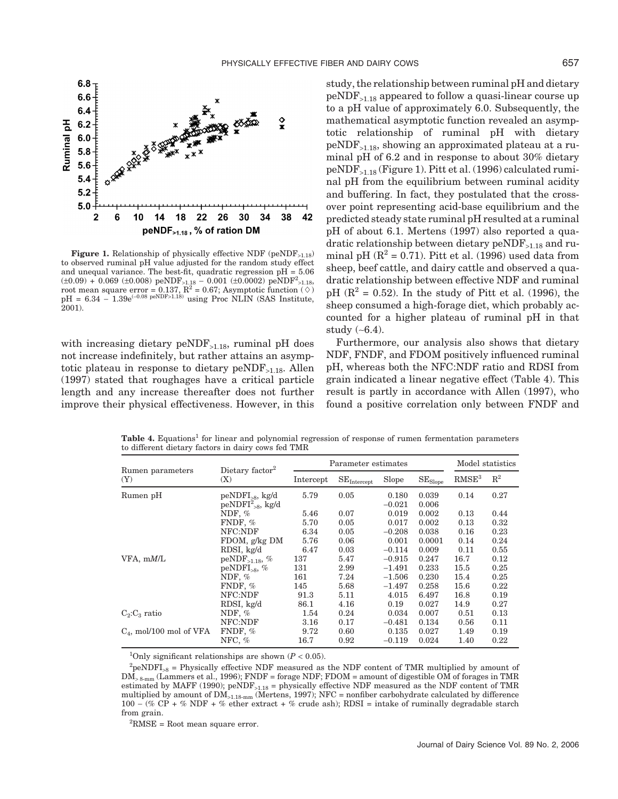

Figure 1. Relationship of physically effective NDF (peNDF<sub>>1.18</sub>) to observed ruminal pH value adjusted for the random study effect and unequal variance. The best-fit, quadratic regression  $pH = 5.06$ (±0.09) + 0.069 (±0.008) peNDF<sub>>1.18</sub> – 0.001 (±0.0002) peNDF<sup>2</sup><sub>>1.18</sub>, root mean square error = 0.137, R<sup>2</sup> = 0.67; Asymptotic function (◇)  $pH = 6.34 - 1.39e^{(-0.08 \text{ peNDF} > 1.18)}$  using Proc NLIN (SAS Institute, 2001).

with increasing dietary  $peNDF_{>1.18}$ , ruminal pH does not increase indefinitely, but rather attains an asymptotic plateau in response to dietary  $peNDF_{\geq 1.18}$ . Allen (1997) stated that roughages have a critical particle length and any increase thereafter does not further improve their physical effectiveness. However, in this study, the relationship between ruminal pH and dietary  $peNDF_{>1.18}$  appeared to follow a quasi-linear course up to a pH value of approximately 6.0. Subsequently, the mathematical asymptotic function revealed an asymptotic relationship of ruminal pH with dietary  $peNDF_{>1.18}$ , showing an approximated plateau at a ruminal pH of 6.2 and in response to about 30% dietary  $peNDF_{>1.18}$  (Figure 1). Pitt et al. (1996) calculated ruminal pH from the equilibrium between ruminal acidity and buffering. In fact, they postulated that the crossover point representing acid-base equilibrium and the predicted steady state ruminal pH resulted at a ruminal pH of about 6.1. Mertens (1997) also reported a quadratic relationship between dietary peNDF>1.18 and ruminal pH  $(R^2 = 0.71)$ . Pitt et al. (1996) used data from sheep, beef cattle, and dairy cattle and observed a quadratic relationship between effective NDF and ruminal pH ( $\mathbb{R}^2$  = 0.52). In the study of Pitt et al. (1996), the sheep consumed a high-forage diet, which probably accounted for a higher plateau of ruminal pH in that study (∼6.4).

Furthermore, our analysis also shows that dietary NDF, FNDF, and FDOM positively influenced ruminal pH, whereas both the NFC:NDF ratio and RDSI from grain indicated a linear negative effect (Table 4). This result is partly in accordance with Allen (1997), who found a positive correlation only between FNDF and

|                            | Dietary factor <sup>2</sup>                    | Parameter estimates | Model statistics                   |                   |                                |                   |                |
|----------------------------|------------------------------------------------|---------------------|------------------------------------|-------------------|--------------------------------|-------------------|----------------|
| Rumen parameters<br>(Y)    | (X)                                            | Intercept           | $\mathrm{SE}_{\mathrm{Intercept}}$ | Slope             | $\mathrm{SE}_{\mathrm{Slope}}$ | RMSE <sup>3</sup> | $\mathrm{R}^2$ |
| Rumen pH                   | $peNDFI_{\geq 8}$ , kg/d<br>$peNDFI2>8$ , kg/d | 5.79                | 0.05                               | 0.180<br>$-0.021$ | 0.039<br>0.006                 | 0.14              | 0.27           |
|                            | NDF, $%$                                       | 5.46                | 0.07                               | 0.019             | 0.002                          | 0.13              | 0.44           |
|                            | FNDF, %                                        | 5.70                | 0.05                               | 0.017             | 0.002                          | 0.13              | 0.32           |
|                            | NFC:NDF                                        | 6.34                | 0.05                               | $-0.208$          | 0.038                          | 0.16              | 0.23           |
|                            | FDOM, $g/kg$ DM                                | 5.76                | 0.06                               | 0.001             | 0.0001                         | 0.14              | 0.24           |
|                            | RDSI, kg/d                                     | 6.47                | 0.03                               | $-0.114$          | 0.009                          | 0.11              | 0.55           |
| $VFA$ , m $M/L$            | peNDF <sub>&gt;1.18</sub> , $%$                | 137                 | 5.47                               | $-0.915$          | 0.247                          | 16.7              | 0.12           |
|                            | peNDF $I_{\geq 8}$ , %                         | 131                 | 2.99                               | $-1.491$          | 0.233                          | 15.5              | 0.25           |
|                            | NDF, $%$                                       | 161                 | 7.24                               | $-1.506$          | 0.230                          | 15.4              | 0.25           |
|                            | FNDF, %                                        | 145                 | 5.68                               | $-1.497$          | 0.258                          | 15.6              | 0.22           |
|                            | NFC:NDF                                        | 91.3                | 5.11                               | 4.015             | 6.497                          | 16.8              | 0.19           |
|                            | RDSI, kg/d                                     | 86.1                | 4.16                               | 0.19              | 0.027                          | 14.9              | 0.27           |
| $C_2:C_3$ ratio            | NDF, $%$                                       | 1.54                | 0.24                               | 0.034             | 0.007                          | 0.51              | 0.13           |
|                            | NFC:NDF                                        | 3.16                | 0.17                               | $-0.481$          | 0.134                          | 0.56              | 0.11           |
| $C_4$ , mol/100 mol of VFA | FNDF, %                                        | 9.72                | 0.60                               | 0.135             | 0.027                          | 1.49              | 0.19           |
|                            | NFC, $%$                                       | 16.7                | 0.92                               | $-0.119$          | 0.024                          | 1.40              | 0.22           |

Table 4. Equations<sup>1</sup> for linear and polynomial regression of response of rumen fermentation parameters to different dietary factors in dairy cows fed TMR

<sup>1</sup>Only significant relationships are shown  $(P < 0.05)$ .

 ${}^{2}$ peNDFI<sub>>8</sub> = Physically effective NDF measured as the NDF content of TMR multiplied by amount of DM<sup>&</sup>gt; 8-mm (Lammers et al., 1996); FNDF = forage NDF; FDOM = amount of digestible OM of forages in TMR estimated by MAFF (1990);  $p \in NDF_{>1.18} =$  physically effective NDF measured as the NDF content of TMR multiplied by amount of DM>1.18-mm (Mertens, 1997); NFC = nonfiber carbohydrate calculated by difference 100 − (% CP + % NDF + % ether extract + % crude ash); RDSI = intake of ruminally degradable starch from grain.

 ${}^{2}$ RMSE = Root mean square error.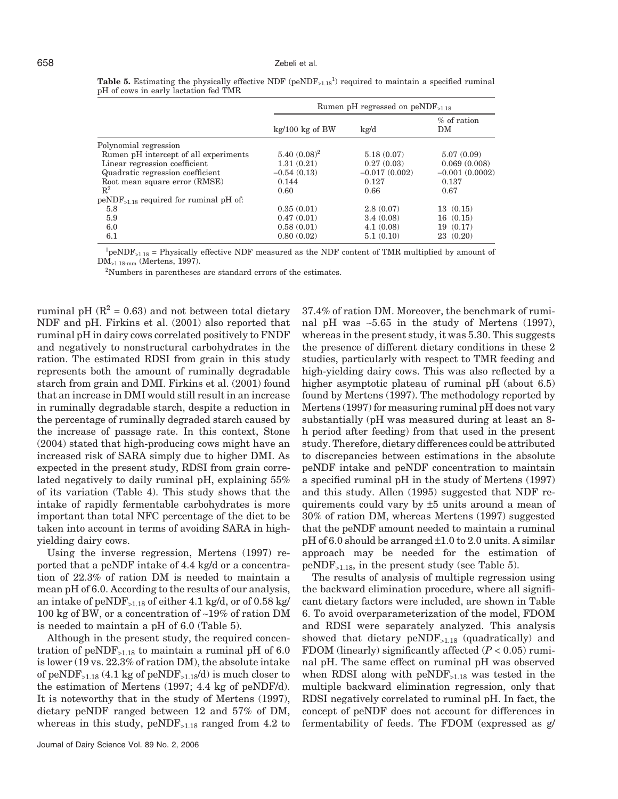|                                                 |                   | Rumen pH regressed on $peNDF_{>1.18}$ |                     |
|-------------------------------------------------|-------------------|---------------------------------------|---------------------|
|                                                 | $kg/100$ kg of BW | kg/d                                  | $%$ of ration<br>DM |
| Polynomial regression                           |                   |                                       |                     |
| Rumen pH intercept of all experiments           | $5.40~(0.08)^2$   | 5.18(0.07)                            | 5.07(0.09)          |
| Linear regression coefficient                   | 1.31(0.21)        | 0.27(0.03)                            | 0.069(0.008)        |
| Quadratic regression coefficient                | $-0.54(0.13)$     | $-0.017(0.002)$                       | $-0.001(0.0002)$    |
| Root mean square error (RMSE)                   | 0.144             | 0.127                                 | 0.137               |
| $\mathbb{R}^2$                                  | 0.60              | 0.66                                  | 0.67                |
| $peNDF_{\leq 1.18}$ required for ruminal pH of: |                   |                                       |                     |
| 5.8                                             | 0.35(0.01)        | 2.8(0.07)                             | 13(0.15)            |
| 5.9                                             | 0.47(0.01)        | 3.4(0.08)                             | 16(0.15)            |
| 6.0                                             | 0.58(0.01)        | 4.1(0.08)                             | 19(0.17)            |
| 6.1                                             | 0.80(0.02)        | 5.1(0.10)                             | 23(0.20)            |

| <b>Table 5.</b> Estimating the physically effective NDF ( $penDF_{>1.18}$ <sup>1</sup> ) required to maintain a specified ruminal |  |  |  |  |  |
|-----------------------------------------------------------------------------------------------------------------------------------|--|--|--|--|--|
| pH of cows in early lactation fed TMR                                                                                             |  |  |  |  |  |

<sup>1</sup>peNDF<sub>>1.18</sub> = Physically effective NDF measured as the NDF content of TMR multiplied by amount of DM>1.18-mm (Mertens, 1997).

<sup>2</sup>Numbers in parentheses are standard errors of the estimates.

ruminal pH ( $\mathbb{R}^2$  = 0.63) and not between total dietary NDF and pH. Firkins et al. (2001) also reported that ruminal pH in dairy cows correlated positively to FNDF and negatively to nonstructural carbohydrates in the ration. The estimated RDSI from grain in this study represents both the amount of ruminally degradable starch from grain and DMI. Firkins et al. (2001) found that an increase in DMI would still result in an increase in ruminally degradable starch, despite a reduction in the percentage of ruminally degraded starch caused by the increase of passage rate. In this context, Stone (2004) stated that high-producing cows might have an increased risk of SARA simply due to higher DMI. As expected in the present study, RDSI from grain correlated negatively to daily ruminal pH, explaining 55% of its variation (Table 4). This study shows that the intake of rapidly fermentable carbohydrates is more important than total NFC percentage of the diet to be taken into account in terms of avoiding SARA in highyielding dairy cows.

Using the inverse regression, Mertens (1997) reported that a peNDF intake of 4.4 kg/d or a concentration of 22.3% of ration DM is needed to maintain a mean pH of 6.0. According to the results of our analysis, an intake of peNDF<sub>>1.18</sub> of either 4.1 kg/d, or of 0.58 kg/ 100 kg of BW, or a concentration of ∼19% of ration DM is needed to maintain a pH of 6.0 (Table 5).

Although in the present study, the required concentration of peNDF<sub>>1.18</sub> to maintain a ruminal pH of 6.0 is lower (19 vs. 22.3% of ration DM), the absolute intake of peNDF<sub>>1.18</sub> (4.1 kg of peNDF<sub>>1.18</sub>/d) is much closer to the estimation of Mertens (1997; 4.4 kg of peNDF/d). It is noteworthy that in the study of Mertens (1997), dietary peNDF ranged between 12 and 57% of DM, whereas in this study,  $peNDF_{>1.18}$  ranged from 4.2 to

37.4% of ration DM. Moreover, the benchmark of ruminal pH was ∼5.65 in the study of Mertens (1997), whereas in the present study, it was 5.30. This suggests the presence of different dietary conditions in these 2 studies, particularly with respect to TMR feeding and high-yielding dairy cows. This was also reflected by a higher asymptotic plateau of ruminal pH (about 6.5) found by Mertens (1997). The methodology reported by Mertens (1997) for measuring ruminal pH does not vary substantially (pH was measured during at least an 8 h period after feeding) from that used in the present study. Therefore, dietary differences could be attributed to discrepancies between estimations in the absolute peNDF intake and peNDF concentration to maintain a specified ruminal pH in the study of Mertens (1997) and this study. Allen (1995) suggested that NDF requirements could vary by ±5 units around a mean of 30% of ration DM, whereas Mertens (1997) suggested that the peNDF amount needed to maintain a ruminal  $pH$  of 6.0 should be arranged  $\pm 1.0$  to 2.0 units. A similar approach may be needed for the estimation of  $peNDF_{>1.18}$ , in the present study (see Table 5).

The results of analysis of multiple regression using the backward elimination procedure, where all significant dietary factors were included, are shown in Table 6. To avoid overparameterization of the model, FDOM and RDSI were separately analyzed. This analysis showed that dietary  $peNDF_{>1.18}$  (quadratically) and FDOM (linearly) significantly affected (*P* < 0.05) ruminal pH. The same effect on ruminal pH was observed when RDSI along with  $peNDF_{>1.18}$  was tested in the multiple backward elimination regression, only that RDSI negatively correlated to ruminal pH. In fact, the concept of peNDF does not account for differences in fermentability of feeds. The FDOM (expressed as g/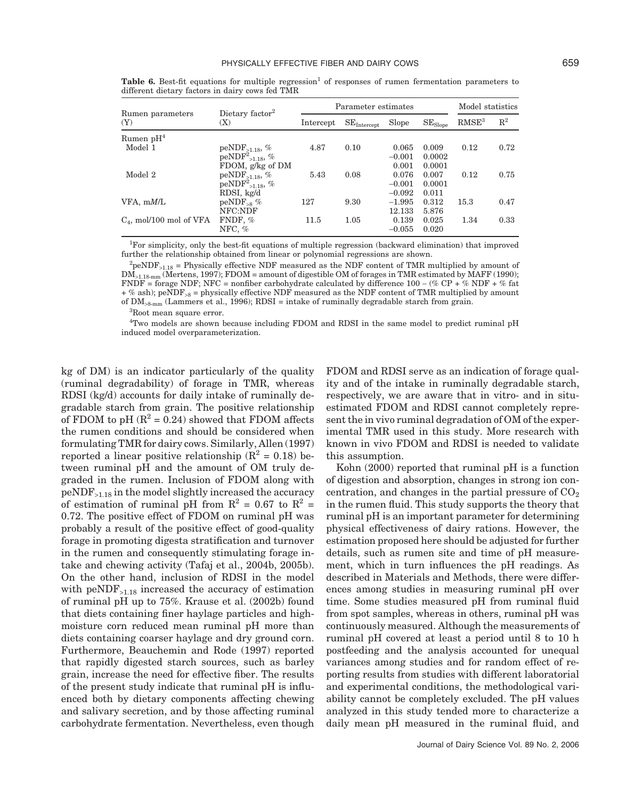|                            |                                    | Parameter estimates | Model statistics                   |          |              |                   |                |
|----------------------------|------------------------------------|---------------------|------------------------------------|----------|--------------|-------------------|----------------|
| Rumen parameters<br>(Y)    | Dietary factor <sup>2</sup><br>(X) | Intercept           | $\mathrm{SE}_{\mathrm{Intercept}}$ | Slope    | $SE_{Slope}$ | RMSE <sup>3</sup> | $\mathrm{R}^2$ |
| Rumen $pH4$                |                                    |                     |                                    |          |              |                   |                |
| Model 1                    | $peNDF_{\geq 1.18}, %$             | 4.87                | 0.10                               | 0.065    | 0.009        | 0.12              | 0.72           |
|                            | $\mathrm{peNDF}^2_{>1.18},\,\%$    |                     |                                    | $-0.001$ | 0.0002       |                   |                |
|                            | FDOM, g/kg of DM                   |                     |                                    | 0.001    | 0.0001       |                   |                |
| Model 2                    | peNDF <sub>&gt;1.18</sub> , $%$    | 5.43                | 0.08                               | 0.076    | 0.007        | 0.12              | 0.75           |
|                            | $peNDF^{2}_{>1.18}, %$             |                     |                                    | $-0.001$ | 0.0001       |                   |                |
|                            | RDSI, kg/d                         |                     |                                    | $-0.092$ | 0.011        |                   |                |
| VFA, mM/L                  | $peNDF_{\geq 8}$ %                 | 127                 | 9.30                               | $-1.995$ | 0.312        | 15.3              | 0.47           |
|                            | NFC:NDF                            |                     |                                    | 12.133   | 5.876        |                   |                |
| $C_4$ , mol/100 mol of VFA | FNDF, $%$                          | 11.5                | 1.05                               | 0.139    | 0.025        | 1.34              | 0.33           |
|                            | NFC, $%$                           |                     |                                    | $-0.055$ | 0.020        |                   |                |

**Table 6.** Best-fit equations for multiple regression<sup>1</sup> of responses of rumen fermentation parameters to different dietary factors in dairy cows fed TMR

1 For simplicity, only the best-fit equations of multiple regression (backward elimination) that improved further the relationship obtained from linear or polynomial regressions are shown.

 $^{2}$ peNDF<sub>>1.18</sub> = Physically effective NDF measured as the NDF content of TMR multiplied by amount of  $\overline{DM}_{>1.18\text{ mm}}$  (Mertens, 1997); FDOM = amount of digestible OM of forages in TMR estimated by MAFF (1990); FNDF = forage NDF; NFC = nonfiber carbohydrate calculated by difference  $100 - (\% \text{ CP} + \% \text{ NDF} + \% \text{ fat})$  $+$  % ash); peNDF<sub>>8</sub> = physically effective NDF measured as the NDF content of TMR multiplied by amount of  $DM_{\geq 8\text{ mm}}$  (Lammers et al., 1996); RDSI = intake of ruminally degradable starch from grain.

3 Root mean square error.

4 Two models are shown because including FDOM and RDSI in the same model to predict ruminal pH induced model overparameterization.

kg of DM) is an indicator particularly of the quality (ruminal degradability) of forage in TMR, whereas RDSI (kg/d) accounts for daily intake of ruminally degradable starch from grain. The positive relationship of FDOM to pH  $(R^2 = 0.24)$  showed that FDOM affects the rumen conditions and should be considered when formulating TMR for dairy cows. Similarly, Allen (1997) reported a linear positive relationship  $(R^2 = 0.18)$  between ruminal pH and the amount of OM truly degraded in the rumen. Inclusion of FDOM along with  $peNDF_{>1.18}$  in the model slightly increased the accuracy of estimation of ruminal pH from  $R^2 = 0.67$  to  $R^2 =$ 0.72. The positive effect of FDOM on ruminal pH was probably a result of the positive effect of good-quality forage in promoting digesta stratification and turnover in the rumen and consequently stimulating forage intake and chewing activity (Tafaj et al., 2004b, 2005b). On the other hand, inclusion of RDSI in the model with  $peNDF_{>1.18}$  increased the accuracy of estimation of ruminal pH up to 75%. Krause et al. (2002b) found that diets containing finer haylage particles and highmoisture corn reduced mean ruminal pH more than diets containing coarser haylage and dry ground corn. Furthermore, Beauchemin and Rode (1997) reported that rapidly digested starch sources, such as barley grain, increase the need for effective fiber. The results of the present study indicate that ruminal pH is influenced both by dietary components affecting chewing and salivary secretion, and by those affecting ruminal carbohydrate fermentation. Nevertheless, even though FDOM and RDSI serve as an indication of forage quality and of the intake in ruminally degradable starch, respectively, we are aware that in vitro- and in situestimated FDOM and RDSI cannot completely represent the in vivo ruminal degradation of OM of the experimental TMR used in this study. More research with known in vivo FDOM and RDSI is needed to validate this assumption.

Kohn (2000) reported that ruminal pH is a function of digestion and absorption, changes in strong ion concentration, and changes in the partial pressure of  $CO<sub>2</sub>$ in the rumen fluid. This study supports the theory that ruminal pH is an important parameter for determining physical effectiveness of dairy rations. However, the estimation proposed here should be adjusted for further details, such as rumen site and time of pH measurement, which in turn influences the pH readings. As described in Materials and Methods, there were differences among studies in measuring ruminal pH over time. Some studies measured pH from ruminal fluid from spot samples, whereas in others, ruminal pH was continuously measured. Although the measurements of ruminal pH covered at least a period until 8 to 10 h postfeeding and the analysis accounted for unequal variances among studies and for random effect of reporting results from studies with different laboratorial and experimental conditions, the methodological variability cannot be completely excluded. The pH values analyzed in this study tended more to characterize a daily mean pH measured in the ruminal fluid, and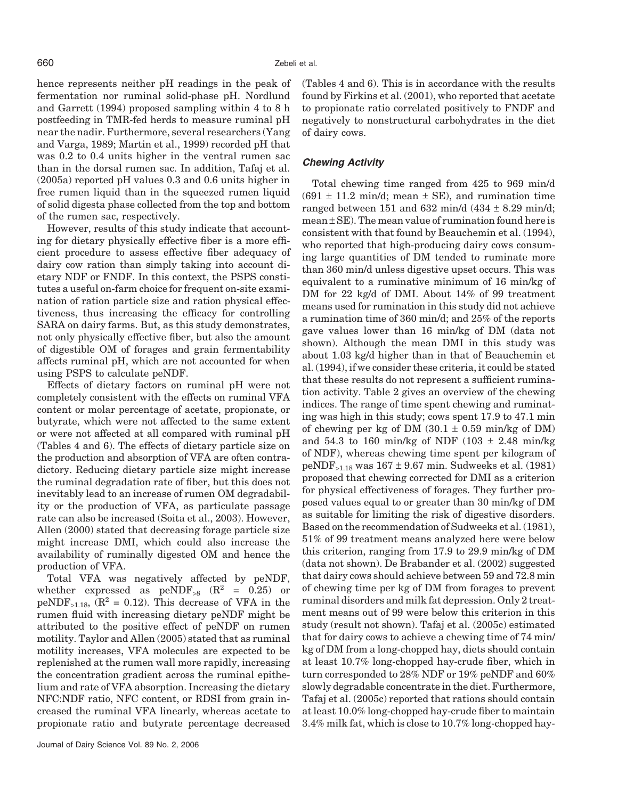hence represents neither pH readings in the peak of fermentation nor ruminal solid-phase pH. Nordlund and Garrett (1994) proposed sampling within 4 to 8 h postfeeding in TMR-fed herds to measure ruminal pH near the nadir. Furthermore, several researchers (Yang and Varga, 1989; Martin et al., 1999) recorded pH that was 0.2 to 0.4 units higher in the ventral rumen sac than in the dorsal rumen sac. In addition, Tafaj et al. (2005a) reported pH values 0.3 and 0.6 units higher in free rumen liquid than in the squeezed rumen liquid of solid digesta phase collected from the top and bottom of the rumen sac, respectively.

However, results of this study indicate that accounting for dietary physically effective fiber is a more efficient procedure to assess effective fiber adequacy of dairy cow ration than simply taking into account dietary NDF or FNDF. In this context, the PSPS constitutes a useful on-farm choice for frequent on-site examination of ration particle size and ration physical effectiveness, thus increasing the efficacy for controlling SARA on dairy farms. But, as this study demonstrates, not only physically effective fiber, but also the amount of digestible OM of forages and grain fermentability affects ruminal pH, which are not accounted for when using PSPS to calculate peNDF.

Effects of dietary factors on ruminal pH were not completely consistent with the effects on ruminal VFA content or molar percentage of acetate, propionate, or butyrate, which were not affected to the same extent or were not affected at all compared with ruminal pH (Tables 4 and 6). The effects of dietary particle size on the production and absorption of VFA are often contradictory. Reducing dietary particle size might increase the ruminal degradation rate of fiber, but this does not inevitably lead to an increase of rumen OM degradability or the production of VFA, as particulate passage rate can also be increased (Soita et al., 2003). However, Allen (2000) stated that decreasing forage particle size might increase DMI, which could also increase the availability of ruminally digested OM and hence the production of VFA.

Total VFA was negatively affected by peNDF, whether expressed as  $peNDF_{>8}$  ( $R^2 = 0.25$ ) or peNDF<sub>>1.18</sub>,  $(R^2 = 0.12)$ . This decrease of VFA in the rumen fluid with increasing dietary peNDF might be attributed to the positive effect of peNDF on rumen motility. Taylor and Allen (2005) stated that as ruminal motility increases, VFA molecules are expected to be replenished at the rumen wall more rapidly, increasing the concentration gradient across the ruminal epithelium and rate of VFA absorption. Increasing the dietary NFC:NDF ratio, NFC content, or RDSI from grain increased the ruminal VFA linearly, whereas acetate to propionate ratio and butyrate percentage decreased (Tables 4 and 6). This is in accordance with the results found by Firkins et al. (2001), who reported that acetate to propionate ratio correlated positively to FNDF and negatively to nonstructural carbohydrates in the diet of dairy cows.

#### *Chewing Activity*

Total chewing time ranged from 425 to 969 min/d  $(691 \pm 11.2 \text{ min/d}$ ; mean  $\pm$  SE), and rumination time ranged between 151 and 632 min/d  $(434 \pm 8.29 \text{ min/d})$ ;  $mean \pm SE$ ). The mean value of rumination found here is consistent with that found by Beauchemin et al. (1994), who reported that high-producing dairy cows consuming large quantities of DM tended to ruminate more than 360 min/d unless digestive upset occurs. This was equivalent to a ruminative minimum of 16 min/kg of DM for 22 kg/d of DMI. About 14% of 99 treatment means used for rumination in this study did not achieve a rumination time of 360 min/d; and 25% of the reports gave values lower than 16 min/kg of DM (data not shown). Although the mean DMI in this study was about 1.03 kg/d higher than in that of Beauchemin et al. (1994), if we consider these criteria, it could be stated that these results do not represent a sufficient rumination activity. Table 2 gives an overview of the chewing indices. The range of time spent chewing and ruminating was high in this study; cows spent 17.9 to 47.1 min of chewing per kg of DM  $(30.1 \pm 0.59 \text{ min/kg of DM})$ and 54.3 to 160 min/kg of NDF  $(103 \pm 2.48 \text{ min/kg})$ of NDF), whereas chewing time spent per kilogram of peNDF<sub>>1.18</sub> was  $167 \pm 9.67$  min. Sudweeks et al. (1981) proposed that chewing corrected for DMI as a criterion for physical effectiveness of forages. They further proposed values equal to or greater than 30 min/kg of DM as suitable for limiting the risk of digestive disorders. Based on the recommendation of Sudweeks et al. (1981), 51% of 99 treatment means analyzed here were below this criterion, ranging from 17.9 to 29.9 min/kg of DM (data not shown). De Brabander et al. (2002) suggested that dairy cows should achieve between 59 and 72.8 min of chewing time per kg of DM from forages to prevent ruminal disorders and milk fat depression. Only 2 treatment means out of 99 were below this criterion in this study (result not shown). Tafaj et al. (2005c) estimated that for dairy cows to achieve a chewing time of 74 min/ kg of DM from a long-chopped hay, diets should contain at least 10.7% long-chopped hay-crude fiber, which in turn corresponded to 28% NDF or 19% peNDF and 60% slowly degradable concentrate in the diet. Furthermore, Tafaj et al. (2005c) reported that rations should contain at least 10.0% long-chopped hay-crude fiber to maintain 3.4% milk fat, which is close to 10.7% long-chopped hay-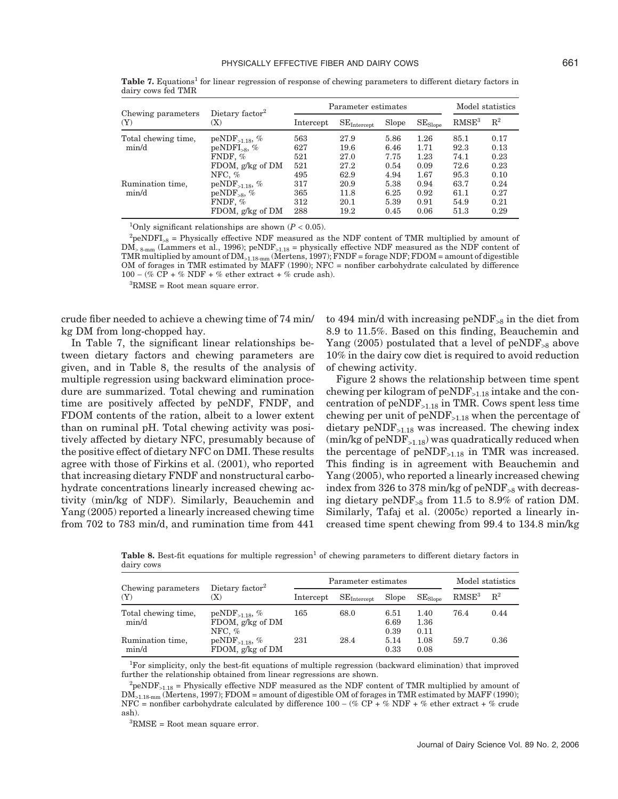| Chewing parameters<br>(Y) |                                    |           | Parameter estimates  | Model statistics |              |                   |                |
|---------------------------|------------------------------------|-----------|----------------------|------------------|--------------|-------------------|----------------|
|                           | Dietary factor <sup>2</sup><br>(X) | Intercept | $SE_{\rm Intercept}$ | Slope            | $SE_{Slope}$ | RMSE <sup>3</sup> | $\mathbb{R}^2$ |
| Total chewing time,       | $peNDF_{>1.18}$ , %                | 563       | 27.9                 | 5.86             | 1.26         | 85.1              | 0.17           |
| min/d                     | $peNDFI_{>8},$ %                   | 627       | 19.6                 | 6.46             | 1.71         | 92.3              | 0.13           |
|                           | FNDF, %                            | 521       | 27.0                 | 7.75             | 1.23         | 74.1              | 0.23           |
|                           | FDOM, g/kg of DM                   | 521       | 27.2                 | 0.54             | 0.09         | 72.6              | 0.23           |
|                           | NFC. $%$                           | 495       | 62.9                 | 4.94             | 1.67         | 95.3              | 0.10           |
| Rumination time,          | $peNDF_{>1.18}$ , %                | 317       | 20.9                 | 5.38             | 0.94         | 63.7              | 0.24           |
| min/d                     | $peNDF_{>8}$ , %                   | 365       | 11.8                 | 6.25             | 0.92         | 61.1              | 0.27           |
|                           | FNDF, %                            | 312       | 20.1                 | 5.39             | 0.91         | 54.9              | 0.21           |
|                           | FDOM, g/kg of DM                   | 288       | 19.2                 | 0.45             | 0.06         | 51.3              | 0.29           |

**Table 7.** Equations<sup>1</sup> for linear regression of response of chewing parameters to different dietary factors in dairy cows fed TMR

<sup>1</sup>Only significant relationships are shown  $(P < 0.05)$ .

 ${}^{2}$ peNDFI<sub>>8</sub> = Physically effective NDF measured as the NDF content of TMR multiplied by amount of  $DM_{> 8\text{-mm}}$  (Lammers et al., 1996); peNDF<sub>>1.18</sub> = physically effective NDF measured as the NDF content of TMR multiplied by amount of DM>1.18-mm (Mertens, 1997); FNDF = forage NDF; FDOM = amount of digestible OM of forages in TMR estimated by MAFF (1990); NFC = nonfiber carbohydrate calculated by difference  $100 - (\% \ \overline{CP} + \% \ \overline{NDF} + \% \text{ ether extract} + \% \text{ crude ash}).$ 

3 RMSE = Root mean square error.

crude fiber needed to achieve a chewing time of 74 min/ kg DM from long-chopped hay.

In Table 7, the significant linear relationships between dietary factors and chewing parameters are given, and in Table 8, the results of the analysis of multiple regression using backward elimination procedure are summarized. Total chewing and rumination time are positively affected by peNDF, FNDF, and FDOM contents of the ration, albeit to a lower extent than on ruminal pH. Total chewing activity was positively affected by dietary NFC, presumably because of the positive effect of dietary NFC on DMI. These results agree with those of Firkins et al. (2001), who reported that increasing dietary FNDF and nonstructural carbohydrate concentrations linearly increased chewing activity (min/kg of NDF). Similarly, Beauchemin and Yang (2005) reported a linearly increased chewing time from 702 to 783 min/d, and rumination time from 441

to 494 min/d with increasing peND $F_{>8}$  in the diet from 8.9 to 11.5%. Based on this finding, Beauchemin and Yang (2005) postulated that a level of  $peNDF_{>8}$  above 10% in the dairy cow diet is required to avoid reduction of chewing activity.

Figure 2 shows the relationship between time spent chewing per kilogram of  $peNDF_{>1.18}$  intake and the concentration of  $peNDF_{>1.18}$  in TMR. Cows spent less time chewing per unit of peNDF>1.18 when the percentage of dietary  $\text{peNDF}_{>1.18}$  was increased. The chewing index  $(\text{min/kg of peNDF}_{>1.18})$  was quadratically reduced when the percentage of  $peNDF_{>1.18}$  in TMR was increased. This finding is in agreement with Beauchemin and Yang (2005), who reported a linearly increased chewing index from 326 to 378 min/kg of  $peNDF_{>8}$  with decreasing dietary peNDF<sub>>8</sub> from 11.5 to 8.9% of ration DM. Similarly, Tafaj et al. (2005c) reported a linearly increased time spent chewing from 99.4 to 134.8 min/kg

**Table 8.** Best-fit equations for multiple regression<sup>1</sup> of chewing parameters to different dietary factors in dairy cows

| Chewing parameters           | Dietary factor <sup>2</sup>                         |           | Parameter estimates     | Model statistics     |                      |                   |       |
|------------------------------|-----------------------------------------------------|-----------|-------------------------|----------------------|----------------------|-------------------|-------|
| (Y)                          | X)                                                  | Intercept | $SE_{\text{Intercept}}$ | Slope                | $SE_{Slope}$         | RMSE <sup>3</sup> | $R^2$ |
| Total chewing time,<br>min/d | $peNDF_{>1.18}$ , %<br>FDOM, g/kg of DM<br>NFC. $%$ | 165       | 68.0                    | 6.51<br>6.69<br>0.39 | 1.40<br>1.36<br>0.11 | 76.4              | 0.44  |
| Rumination time,<br>min/d    | $peNDF_{>1.18}$ , %<br>FDOM, g/kg of DM             | 231       | 28.4                    | 5.14<br>0.33         | 1.08<br>0.08         | 59.7              | 0.36  |

1 For simplicity, only the best-fit equations of multiple regression (backward elimination) that improved further the relationship obtained from linear regressions are shown.

 ${}^{2}$ peNDF<sub>>1.18</sub> = Physically effective NDF measured as the NDF content of TMR multiplied by amount of DM>1.18-mm (Mertens, 1997); FDOM = amount of digestible OM of forages in TMR estimated by MAFF (1990); NFC = nonfiber carbohydrate calculated by difference 100 − (% CP + % NDF + % ether extract + % crude ash).

3 RMSE = Root mean square error.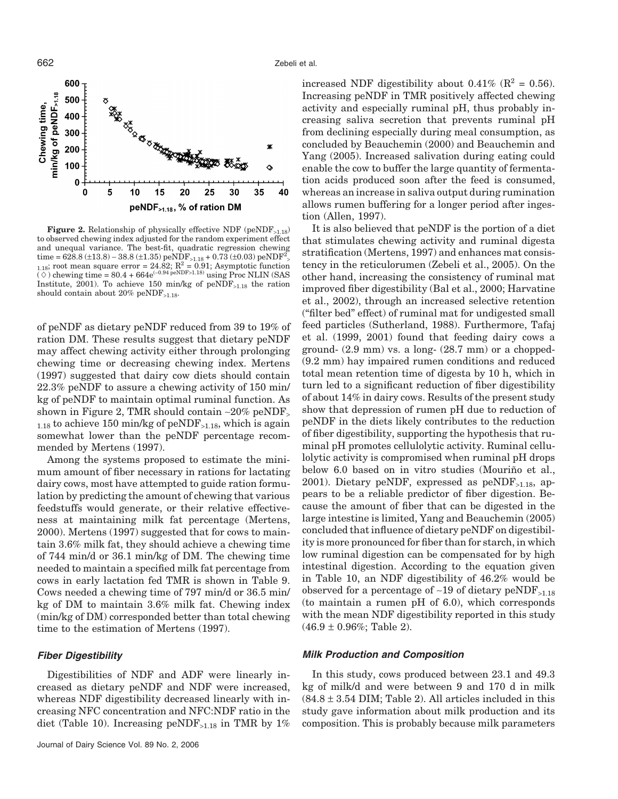

**Figure 2.** Relationship of physically effective NDF (peNDF $_{>1.18}$ ) to observed chewing index adjusted for the random experiment effect and unequal variance. The best-fit, quadratic regression chewing time = 628.8 (±13.8) – 38.8 (±1.35) peNDF<sub>>1.18</sub> + 0.73 (±0.03) peNDF<sup>2</sup> time =  $\sigma$ 20.0 (±1.3.0) – 30.0 (±1.33) penDr<sub>>1.18</sub> + 0.73 (±0.03) penDr >  $\sigma$ <sub>1.18</sub>; root mean square error = 24.82; R<sup>2</sup> = 0.91; Asymptotic function  $(\diamond)$  chewing time = 80.4 + 664e<sup>(-0.94 peNDF>1.18)</sup> using Proc NLIN (SAS Institute, 2001). To achieve 150 min/kg of  $peNDF_{>1.18}$  the ration should contain about 20% peNDF<sub>>1.18</sub>.

of peNDF as dietary peNDF reduced from 39 to 19% of ration DM. These results suggest that dietary peNDF may affect chewing activity either through prolonging chewing time or decreasing chewing index. Mertens (1997) suggested that dairy cow diets should contain 22.3% peNDF to assure a chewing activity of 150 min/ kg of peNDF to maintain optimal ruminal function. As shown in Figure 2, TMR should contain ∼20% peNDF<sup>&</sup>gt;  $_{1.18}$  to achieve 150 min/kg of peNDF<sub>>1.18</sub>, which is again somewhat lower than the peNDF percentage recommended by Mertens (1997).

Among the systems proposed to estimate the minimum amount of fiber necessary in rations for lactating dairy cows, most have attempted to guide ration formulation by predicting the amount of chewing that various feedstuffs would generate, or their relative effectiveness at maintaining milk fat percentage (Mertens, 2000). Mertens (1997) suggested that for cows to maintain 3.6% milk fat, they should achieve a chewing time of 744 min/d or 36.1 min/kg of DM. The chewing time needed to maintain a specified milk fat percentage from cows in early lactation fed TMR is shown in Table 9. Cows needed a chewing time of 797 min/d or 36.5 min/ kg of DM to maintain 3.6% milk fat. Chewing index (min/kg of DM) corresponded better than total chewing time to the estimation of Mertens (1997).

# *Fiber Digestibility*

Digestibilities of NDF and ADF were linearly increased as dietary peNDF and NDF were increased, whereas NDF digestibility decreased linearly with increasing NFC concentration and NFC:NDF ratio in the diet (Table 10). Increasing peNDF<sub>>1.18</sub> in TMR by 1% increased NDF digestibility about 0.41% ( $\mathbb{R}^2$  = 0.56). Increasing peNDF in TMR positively affected chewing activity and especially ruminal pH, thus probably increasing saliva secretion that prevents ruminal pH from declining especially during meal consumption, as concluded by Beauchemin (2000) and Beauchemin and Yang (2005). Increased salivation during eating could enable the cow to buffer the large quantity of fermentation acids produced soon after the feed is consumed, whereas an increase in saliva output during rumination allows rumen buffering for a longer period after ingestion (Allen, 1997).

It is also believed that peNDF is the portion of a diet that stimulates chewing activity and ruminal digesta stratification (Mertens, 1997) and enhances mat consistency in the reticulorumen (Zebeli et al., 2005). On the other hand, increasing the consistency of ruminal mat improved fiber digestibility (Bal et al., 2000; Harvatine et al., 2002), through an increased selective retention ("filter bed" effect) of ruminal mat for undigested small feed particles (Sutherland, 1988). Furthermore, Tafaj et al. (1999, 2001) found that feeding dairy cows a ground- (2.9 mm) vs. a long- (28.7 mm) or a chopped- (9.2 mm) hay impaired rumen conditions and reduced total mean retention time of digesta by 10 h, which in turn led to a significant reduction of fiber digestibility of about 14% in dairy cows. Results of the present study show that depression of rumen pH due to reduction of peNDF in the diets likely contributes to the reduction of fiber digestibility, supporting the hypothesis that ruminal pH promotes cellulolytic activity. Ruminal cellulolytic activity is compromised when ruminal pH drops below 6.0 based on in vitro studies (Mouriño et al., 2001). Dietary peNDF, expressed as  $peNDF_{>1.18}$ , appears to be a reliable predictor of fiber digestion. Because the amount of fiber that can be digested in the large intestine is limited, Yang and Beauchemin (2005) concluded that influence of dietary peNDF on digestibility is more pronounced for fiber than for starch, in which low ruminal digestion can be compensated for by high intestinal digestion. According to the equation given in Table 10, an NDF digestibility of 46.2% would be observed for a percentage of ∼19 of dietary peNDF>1.18 (to maintain a rumen pH of 6.0), which corresponds with the mean NDF digestibility reported in this study  $(46.9 \pm 0.96\%;$  Table 2).

### *Milk Production and Composition*

In this study, cows produced between 23.1 and 49.3 kg of milk/d and were between 9 and 170 d in milk  $(84.8 \pm 3.54 \text{ DIM}; \text{Table 2})$ . All articles included in this study gave information about milk production and its composition. This is probably because milk parameters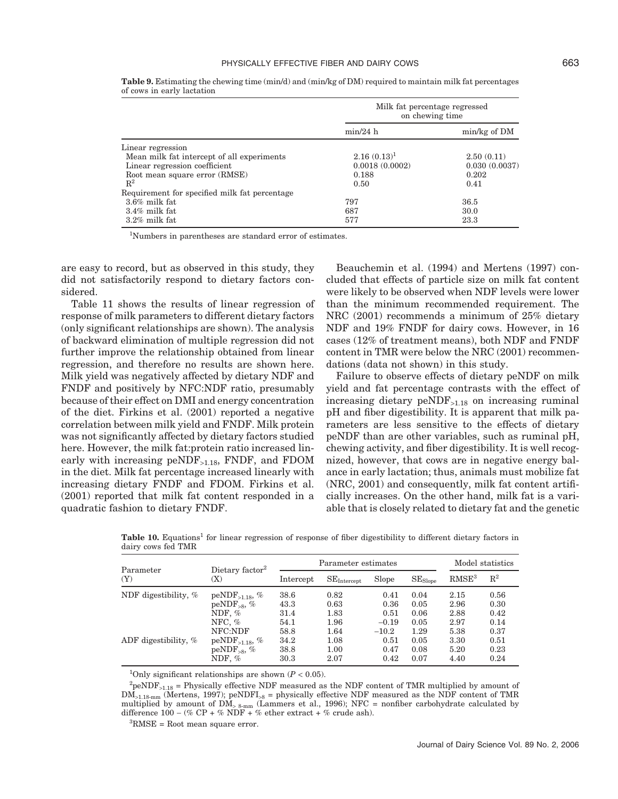|                                               | Milk fat percentage regressed<br>on chewing time |               |  |  |
|-----------------------------------------------|--------------------------------------------------|---------------|--|--|
|                                               | min/24 h                                         | min/kg of DM  |  |  |
| Linear regression                             |                                                  |               |  |  |
| Mean milk fat intercept of all experiments    | $2.16(0.13)^1$                                   | 2.50(0.11)    |  |  |
| Linear regression coefficient                 | 0.0018(0.0002)                                   | 0.030(0.0037) |  |  |
| Root mean square error (RMSE)                 | 0.188                                            | 0.202         |  |  |
| $R^2$                                         | 0.50                                             | 0.41          |  |  |
| Requirement for specified milk fat percentage |                                                  |               |  |  |
| $3.6\%$ milk fat                              | 797                                              | 36.5          |  |  |
| $3.4\%$ milk fat                              | 687                                              | 30.0          |  |  |
| $3.2\%$ milk fat                              | 577                                              | 23.3          |  |  |

**Table 9.** Estimating the chewing time (min/d) and (min/kg of DM) required to maintain milk fat percentages of cows in early lactation

1 Numbers in parentheses are standard error of estimates.

are easy to record, but as observed in this study, they did not satisfactorily respond to dietary factors considered.

Table 11 shows the results of linear regression of response of milk parameters to different dietary factors (only significant relationships are shown). The analysis of backward elimination of multiple regression did not further improve the relationship obtained from linear regression, and therefore no results are shown here. Milk yield was negatively affected by dietary NDF and FNDF and positively by NFC:NDF ratio, presumably because of their effect on DMI and energy concentration of the diet. Firkins et al. (2001) reported a negative correlation between milk yield and FNDF. Milk protein was not significantly affected by dietary factors studied here. However, the milk fat:protein ratio increased linearly with increasing  $peNDF_{>1.18}$ , FNDF, and FDOM in the diet. Milk fat percentage increased linearly with increasing dietary FNDF and FDOM. Firkins et al. (2001) reported that milk fat content responded in a quadratic fashion to dietary FNDF.

Beauchemin et al. (1994) and Mertens (1997) concluded that effects of particle size on milk fat content were likely to be observed when NDF levels were lower than the minimum recommended requirement. The NRC (2001) recommends a minimum of 25% dietary NDF and 19% FNDF for dairy cows. However, in 16 cases (12% of treatment means), both NDF and FNDF content in TMR were below the NRC (2001) recommendations (data not shown) in this study.

Failure to observe effects of dietary peNDF on milk yield and fat percentage contrasts with the effect of increasing dietary  $peNDF_{>1.18}$  on increasing ruminal pH and fiber digestibility. It is apparent that milk parameters are less sensitive to the effects of dietary peNDF than are other variables, such as ruminal pH, chewing activity, and fiber digestibility. It is well recognized, however, that cows are in negative energy balance in early lactation; thus, animals must mobilize fat (NRC, 2001) and consequently, milk fat content artificially increases. On the other hand, milk fat is a variable that is closely related to dietary fat and the genetic

| Parameter            |                                    |           | Parameter estimates  | Model statistics |              |                   |                |
|----------------------|------------------------------------|-----------|----------------------|------------------|--------------|-------------------|----------------|
| (Y)                  | Dietary factor <sup>2</sup><br>(X) | Intercept | $SE_{\rm Intercept}$ | Slope            | $SE_{Slope}$ | RMSE <sup>3</sup> | $\mathbb{R}^2$ |
| NDF digestibility, % | $peNDF_{>1.18}, \%$                | 38.6      | 0.82                 | 0.41             | 0.04         | 2.15              | 0.56           |
|                      | $peNDF_{\geq 8}, \%$               | 43.3      | 0.63                 | 0.36             | 0.05         | 2.96              | 0.30           |
|                      | NDF, $%$                           | 31.4      | 1.83                 | 0.51             | 0.06         | 2.88              | 0.42           |
|                      | NFC. $%$                           | 54.1      | 1.96                 | $-0.19$          | 0.05         | 2.97              | 0.14           |
|                      | NFC:NDF                            | 58.8      | 1.64                 | $-10.2$          | 1.29         | 5.38              | 0.37           |
| ADF digestibility, % | $peNDF_{>1.18}, %$                 | 34.2      | 1.08                 | 0.51             | 0.05         | 3.30              | 0.51           |
|                      | $peNDF_{\geq 8}$ , %               | 38.8      | 1.00                 | 0.47             | 0.08         | 5.20              | 0.23           |
|                      | NDF, $%$                           | 30.3      | 2.07                 | 0.42             | 0.07         | 4.40              | 0.24           |

**Table 10.** Equations<sup>1</sup> for linear regression of response of fiber digestibility to different dietary factors in dairy cows fed TMR

<sup>1</sup>Only significant relationships are shown  $(P < 0.05)$ .

 ${}^{2}$ peNDF<sub>>1.18</sub> = Physically effective NDF measured as the NDF content of TMR multiplied by amount of  $\text{DM}_{>1.18\text{mm}}$  (Mertens, 1997); peNDFI<sub>>8</sub> = physically effective NDF measured as the NDF content of TMR multiplied by amount of DM<sup>&</sup>gt; 8-mm (Lammers et al., 1996); NFC = nonfiber carbohydrate calculated by difference  $100 - (\% \text{ CP} + \% \text{ NDF} + \% \text{ ether extract} + \% \text{ crude ash}).$ 

3 RMSE = Root mean square error.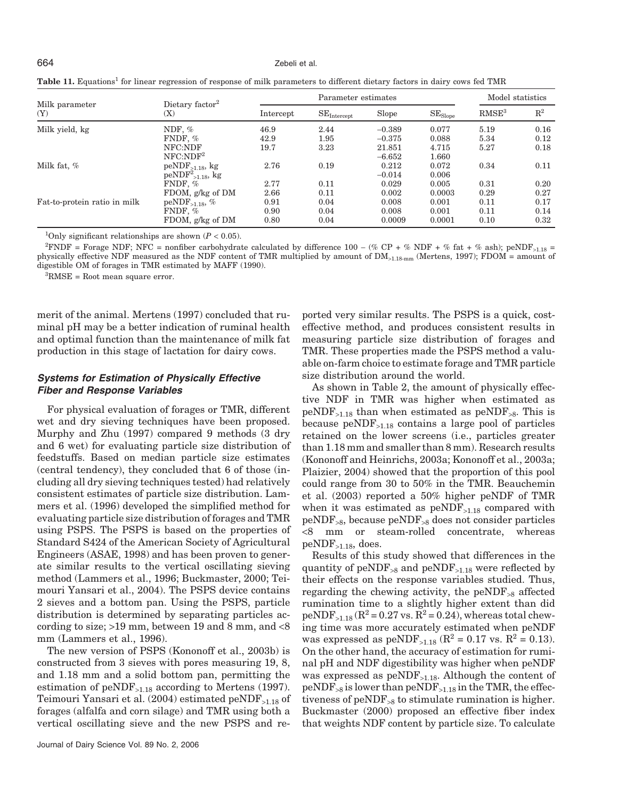664 Zebeli et al.

| Milk parameter<br>(Y)        |                                    |           | Model statistics |          |              |                   |                |
|------------------------------|------------------------------------|-----------|------------------|----------|--------------|-------------------|----------------|
|                              | Dietary factor <sup>2</sup><br>(X) | Intercept | $SE_{Intercept}$ | Slope    | $SE_{Slope}$ | RMSE <sup>3</sup> | $\mathbb{R}^2$ |
| Milk yield, kg               | NDF, $%$                           | 46.9      | 2.44             | $-0.389$ | 0.077        | 5.19              | 0.16           |
|                              | FNDF. $%$                          | 42.9      | 1.95             | $-0.375$ | 0.088        | 5.34              | 0.12           |
|                              | NFC:NDF                            | 19.7      | 3.23             | 21.851   | 4.715        | 5.27              | 0.18           |
|                              | NFC:NDF <sup>2</sup>               |           |                  | $-6.652$ | 1.660        |                   |                |
| Milk fat, %                  | $peNDF_{>1.18}$ , kg               | 2.76      | 0.19             | 0.212    | 0.072        | 0.34              | 0.11           |
|                              | $peNDF2>1.18$ , kg                 |           |                  | $-0.014$ | 0.006        |                   |                |
|                              | FNDF, %                            | 2.77      | 0.11             | 0.029    | 0.005        | 0.31              | 0.20           |
|                              | FDOM, g/kg of DM                   | 2.66      | 0.11             | 0.002    | 0.0003       | 0.29              | 0.27           |
| Fat-to-protein ratio in milk | $peNDF_{>1.18}$ , %                | 0.91      | 0.04             | 0.008    | 0.001        | 0.11              | 0.17           |
|                              | FNDF, $%$                          | 0.90      | 0.04             | 0.008    | 0.001        | 0.11              | 0.14           |
|                              | FDOM, g/kg of DM                   | 0.80      | 0.04             | 0.0009   | 0.0001       | 0.10              | 0.32           |

Table 11. Equations<sup>1</sup> for linear regression of response of milk parameters to different dietary factors in dairy cows fed TMR

<sup>1</sup>Only significant relationships are shown  $(P < 0.05)$ .

 $^{2}$ FNDF = Forage NDF; NFC = nonfiber carbohydrate calculated by difference 100 – (% CP + % NDF + % fat + % ash); peNDF<sub>>1.18</sub> = physically effective NDF measured as the NDF content of TMR multiplied by amount of  $DM_{>1.18\text{-}mm}$  (Mertens, 1997); FDOM = amount of digestible OM of forages in TMR estimated by MAFF (1990).

3 RMSE = Root mean square error.

merit of the animal. Mertens (1997) concluded that ruminal pH may be a better indication of ruminal health and optimal function than the maintenance of milk fat production in this stage of lactation for dairy cows.

# *Systems for Estimation of Physically Effective Fiber and Response Variables*

For physical evaluation of forages or TMR, different wet and dry sieving techniques have been proposed. Murphy and Zhu (1997) compared 9 methods (3 dry and 6 wet) for evaluating particle size distribution of feedstuffs. Based on median particle size estimates (central tendency), they concluded that 6 of those (including all dry sieving techniques tested) had relatively consistent estimates of particle size distribution. Lammers et al. (1996) developed the simplified method for evaluating particle size distribution of forages and TMR using PSPS. The PSPS is based on the properties of Standard S424 of the American Society of Agricultural Engineers (ASAE, 1998) and has been proven to generate similar results to the vertical oscillating sieving method (Lammers et al., 1996; Buckmaster, 2000; Teimouri Yansari et al., 2004). The PSPS device contains 2 sieves and a bottom pan. Using the PSPS, particle distribution is determined by separating particles according to size; >19 mm, between 19 and 8 mm, and <8 mm (Lammers et al., 1996).

The new version of PSPS (Kononoff et al., 2003b) is constructed from 3 sieves with pores measuring 19, 8, and 1.18 mm and a solid bottom pan, permitting the estimation of  $peNDF_{>1.18}$  according to Mertens (1997). Teimouri Yansari et al. (2004) estimated peNDF>1.18 of forages (alfalfa and corn silage) and TMR using both a vertical oscillating sieve and the new PSPS and re-

ported very similar results. The PSPS is a quick, costeffective method, and produces consistent results in measuring particle size distribution of forages and TMR. These properties made the PSPS method a valuable on-farm choice to estimate forage and TMR particle size distribution around the world.

As shown in Table 2, the amount of physically effective NDF in TMR was higher when estimated as  $peNDF_{>1.18}$  than when estimated as  $peNDF_{>8}$ . This is because  $peNDF_{>1.18}$  contains a large pool of particles retained on the lower screens (i.e., particles greater than 1.18 mm and smaller than 8 mm). Research results (Kononoff and Heinrichs, 2003a; Kononoff et al., 2003a; Plaizier, 2004) showed that the proportion of this pool could range from 30 to 50% in the TMR. Beauchemin et al. (2003) reported a 50% higher peNDF of TMR when it was estimated as  $peNDF_{>1.18}$  compared with  $peNDF_{>8}$ , because  $peNDF_{>8}$  does not consider particles <8 mm or steam-rolled concentrate, whereas peNDF>1.18, does.

Results of this study showed that differences in the quantity of peNDF<sub>>8</sub> and peNDF<sub>>1.18</sub> were reflected by their effects on the response variables studied. Thus, regarding the chewing activity, the peNDF><sup>8</sup> affected rumination time to a slightly higher extent than did  $peNDF_{>1.18}$  ( $R^2 = 0.27$  vs.  $R^2 = 0.24$ ), whereas total chewing time was more accurately estimated when peNDF was expressed as  $peNDF_{>1.18}$  ( $R^2 = 0.17$  vs.  $R^2 = 0.13$ ). On the other hand, the accuracy of estimation for ruminal pH and NDF digestibility was higher when peNDF was expressed as  $peNDF_{>1.18}$ . Although the content of  $peNDF_{>8}$  is lower than  $peNDF_{>1.18}$  in the TMR, the effectiveness of  $peNDF_{>8}$  to stimulate rumination is higher. Buckmaster (2000) proposed an effective fiber index that weights NDF content by particle size. To calculate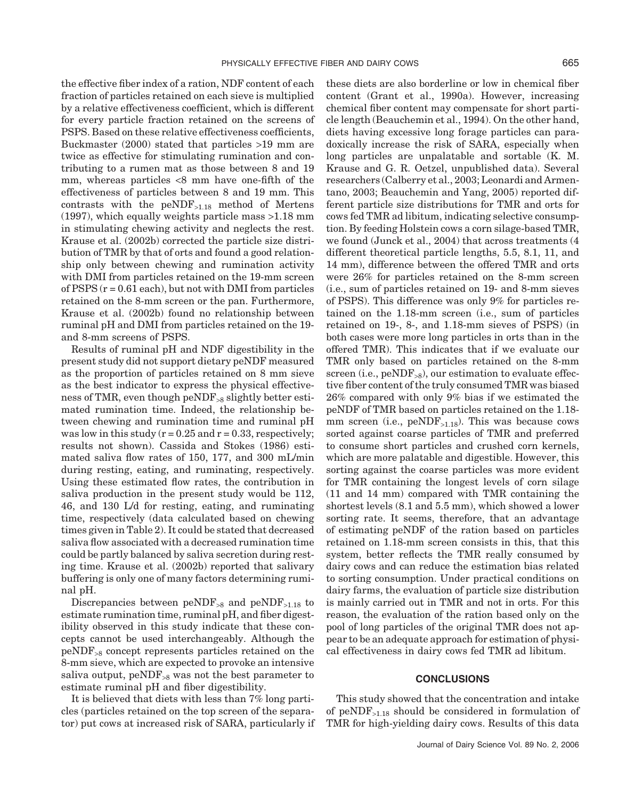the effective fiber index of a ration, NDF content of each fraction of particles retained on each sieve is multiplied by a relative effectiveness coefficient, which is different for every particle fraction retained on the screens of PSPS. Based on these relative effectiveness coefficients, Buckmaster (2000) stated that particles >19 mm are twice as effective for stimulating rumination and contributing to a rumen mat as those between 8 and 19 mm, whereas particles <8 mm have one-fifth of the effectiveness of particles between 8 and 19 mm. This contrasts with the  $peNDF_{>1.18}$  method of Mertens (1997), which equally weights particle mass >1.18 mm in stimulating chewing activity and neglects the rest. Krause et al. (2002b) corrected the particle size distribution of TMR by that of orts and found a good relationship only between chewing and rumination activity with DMI from particles retained on the 19-mm screen of PSPS  $(r = 0.61$  each), but not with DMI from particles retained on the 8-mm screen or the pan. Furthermore, Krause et al. (2002b) found no relationship between ruminal pH and DMI from particles retained on the 19 and 8-mm screens of PSPS.

Results of ruminal pH and NDF digestibility in the present study did not support dietary peNDF measured as the proportion of particles retained on 8 mm sieve as the best indicator to express the physical effectiveness of TMR, even though peNDF<sub>>8</sub> slightly better estimated rumination time. Indeed, the relationship between chewing and rumination time and ruminal pH was low in this study  $(r = 0.25$  and  $r = 0.33$ , respectively; results not shown). Cassida and Stokes (1986) estimated saliva flow rates of 150, 177, and 300 mL/min during resting, eating, and ruminating, respectively. Using these estimated flow rates, the contribution in saliva production in the present study would be 112, 46, and 130 L/d for resting, eating, and ruminating time, respectively (data calculated based on chewing times given in Table 2). It could be stated that decreased saliva flow associated with a decreased rumination time could be partly balanced by saliva secretion during resting time. Krause et al. (2002b) reported that salivary buffering is only one of many factors determining ruminal pH.

Discrepancies between  $peNDF_{>8}$  and  $peNDF_{>1.18}$  to estimate rumination time, ruminal pH, and fiber digestibility observed in this study indicate that these concepts cannot be used interchangeably. Although the peNDF><sup>8</sup> concept represents particles retained on the 8-mm sieve, which are expected to provoke an intensive saliva output,  $peNDF_{>8}$  was not the best parameter to estimate ruminal pH and fiber digestibility.

It is believed that diets with less than 7% long particles (particles retained on the top screen of the separator) put cows at increased risk of SARA, particularly if these diets are also borderline or low in chemical fiber content (Grant et al., 1990a). However, increasing chemical fiber content may compensate for short particle length (Beauchemin et al., 1994). On the other hand, diets having excessive long forage particles can paradoxically increase the risk of SARA, especially when long particles are unpalatable and sortable (K. M. Krause and G. R. Oetzel, unpublished data). Several researchers (Calberry et al., 2003; Leonardi and Armentano, 2003; Beauchemin and Yang, 2005) reported different particle size distributions for TMR and orts for cows fed TMR ad libitum, indicating selective consumption. By feeding Holstein cows a corn silage-based TMR, we found (Junck et al., 2004) that across treatments (4 different theoretical particle lengths, 5.5, 8.1, 11, and 14 mm), difference between the offered TMR and orts were 26% for particles retained on the 8-mm screen (i.e., sum of particles retained on 19- and 8-mm sieves of PSPS). This difference was only 9% for particles retained on the 1.18-mm screen (i.e., sum of particles retained on 19-, 8-, and 1.18-mm sieves of PSPS) (in both cases were more long particles in orts than in the offered TMR). This indicates that if we evaluate our TMR only based on particles retained on the 8-mm screen (i.e.,  $peNDF_{>8}$ ), our estimation to evaluate effective fiber content of the truly consumed TMR was biased 26% compared with only 9% bias if we estimated the peNDF of TMR based on particles retained on the 1.18 mm screen (i.e.,  $peNDF_{>1.18}$ ). This was because cows sorted against coarse particles of TMR and preferred to consume short particles and crushed corn kernels, which are more palatable and digestible. However, this sorting against the coarse particles was more evident for TMR containing the longest levels of corn silage (11 and 14 mm) compared with TMR containing the shortest levels (8.1 and 5.5 mm), which showed a lower sorting rate. It seems, therefore, that an advantage of estimating peNDF of the ration based on particles retained on 1.18-mm screen consists in this, that this system, better reflects the TMR really consumed by dairy cows and can reduce the estimation bias related to sorting consumption. Under practical conditions on dairy farms, the evaluation of particle size distribution is mainly carried out in TMR and not in orts. For this reason, the evaluation of the ration based only on the pool of long particles of the original TMR does not appear to be an adequate approach for estimation of physical effectiveness in dairy cows fed TMR ad libitum.

# **CONCLUSIONS**

This study showed that the concentration and intake of  $peNDF_{>1.18}$  should be considered in formulation of TMR for high-yielding dairy cows. Results of this data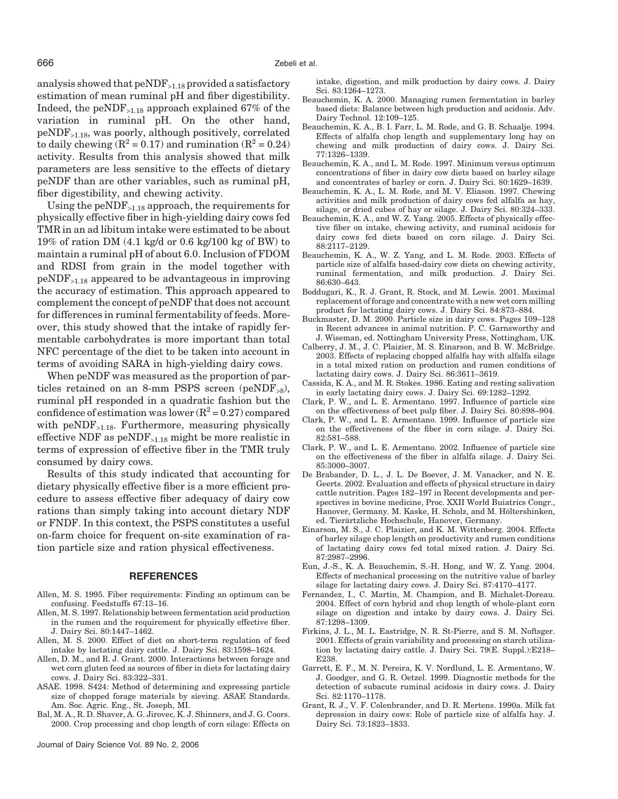analysis showed that  $peNDF_{>1.18}$  provided a satisfactory estimation of mean ruminal pH and fiber digestibility. Indeed, the peNDF>1.18 approach explained 67% of the variation in ruminal pH. On the other hand, peNDF>1.18, was poorly, although positively, correlated to daily chewing  $(R^2 = 0.17)$  and rumination  $(R^2 = 0.24)$ activity. Results from this analysis showed that milk parameters are less sensitive to the effects of dietary peNDF than are other variables, such as ruminal pH, fiber digestibility, and chewing activity.

Using the  $peNDF_{>1.18}$  approach, the requirements for physically effective fiber in high-yielding dairy cows fed TMR in an ad libitum intake were estimated to be about 19% of ration DM (4.1 kg/d or 0.6 kg/100 kg of BW) to maintain a ruminal pH of about 6.0. Inclusion of FDOM and RDSI from grain in the model together with  $peNDF_{>1.18}$  appeared to be advantageous in improving the accuracy of estimation. This approach appeared to complement the concept of peNDF that does not account for differences in ruminal fermentability of feeds. Moreover, this study showed that the intake of rapidly fermentable carbohydrates is more important than total NFC percentage of the diet to be taken into account in terms of avoiding SARA in high-yielding dairy cows.

When peNDF was measured as the proportion of particles retained on an 8-mm PSPS screen (peNDF<sub>>8</sub>), ruminal pH responded in a quadratic fashion but the confidence of estimation was lower  $(R^2 = 0.27)$  compared with peNDF<sub>>1.18</sub>. Furthermore, measuring physically effective NDF as  $peNDF_{>1.18}$  might be more realistic in terms of expression of effective fiber in the TMR truly consumed by dairy cows.

Results of this study indicated that accounting for dietary physically effective fiber is a more efficient procedure to assess effective fiber adequacy of dairy cow rations than simply taking into account dietary NDF or FNDF. In this context, the PSPS constitutes a useful on-farm choice for frequent on-site examination of ration particle size and ration physical effectiveness.

#### **REFERENCES**

- Allen, M. S. 1995. Fiber requirements: Finding an optimum can be confusing. Feedstuffs 67:13–16.
- Allen, M. S. 1997. Relationship between fermentation acid production in the rumen and the requirement for physically effective fiber. J. Dairy Sci. 80:1447–1462.
- Allen, M. S. 2000. Effect of diet on short-term regulation of feed intake by lactating dairy cattle. J. Dairy Sci. 83:1598–1624.
- Allen, D. M., and R. J. Grant. 2000. Interactions between forage and wet corn gluten feed as sources of fiber in diets for lactating dairy cows. J. Dairy Sci. 83:322–331.
- ASAE. 1998. S424: Method of determining and expressing particle size of chopped forage materials by sieving. ASAE Standards. Am. Soc. Agric. Eng., St. Joseph, MI.
- Bal, M. A., R. D. Shaver, A. G. Jirovec, K. J. Shinners, and J. G. Coors. 2000. Crop processing and chop length of corn silage: Effects on

Journal of Dairy Science Vol. 89 No. 2, 2006

intake, digestion, and milk production by dairy cows. J. Dairy Sci. 83:1264–1273.

- Beauchemin, K. A. 2000. Managing rumen fermentation in barley based diets: Balance between high production and acidosis. Adv. Dairy Technol. 12:109–125.
- Beauchemin, K. A., B. I. Farr, L. M. Rode, and G. B. Schaalje. 1994. Effects of alfalfa chop length and supplementary long hay on chewing and milk production of dairy cows. J. Dairy Sci. 77:1326–1339.
- Beauchemin, K. A., and L. M. Rode. 1997. Minimum versus optimum concentrations of fiber in dairy cow diets based on barley silage and concentrates of barley or corn. J. Dairy Sci. 80:1629–1639.
- Beauchemin, K. A., L. M. Rode, and M. V. Eliason. 1997. Chewing activities and milk production of dairy cows fed alfalfa as hay, silage, or dried cubes of hay or silage. J. Dairy Sci. 80:324–333.
- Beauchemin, K. A., and W. Z. Yang. 2005. Effects of physically effective fiber on intake, chewing activity, and ruminal acidosis for dairy cows fed diets based on corn silage. J. Dairy Sci. 88:2117–2129.
- Beauchemin, K. A., W. Z. Yang, and L. M. Rode. 2003. Effects of particle size of alfalfa based-dairy cow diets on chewing activity, ruminal fermentation, and milk production. J. Dairy Sci. 86:630–643.
- Boddugari, K., R. J. Grant, R. Stock, and M. Lewis. 2001. Maximal replacement of forage and concentrate with a new wet corn milling product for lactating dairy cows. J. Dairy Sci. 84:873–884.
- Buckmaster, D. M. 2000. Particle size in dairy cows. Pages 109–128 in Recent advances in animal nutrition. P. C. Garnsworthy and J. Wiseman, ed. Nottingham University Press, Nottingham, UK.
- Calberry, J. M., J. C. Plaizier, M. S. Einarson, and B. W. McBridge. 2003. Effects of replacing chopped alfalfa hay with alfalfa silage in a total mixed ration on production and rumen conditions of lactating dairy cows. J. Dairy Sci. 86:3611–3619.
- Cassida, K. A., and M. R. Stokes. 1986. Eating and resting salivation in early lactating dairy cows. J. Dairy Sci. 69:1282–1292.
- Clark, P. W., and L. E. Armentano. 1997. Influence of particle size on the effectiveness of beet pulp fiber. J. Dairy Sci. 80:898–904.
- Clark, P. W., and L. E. Armentano. 1999. Influence of particle size on the effectiveness of the fiber in corn silage. J. Dairy Sci. 82:581–588.
- Clark, P. W., and L. E. Armentano. 2002. Influence of particle size on the effectiveness of the fiber in alfalfa silage. J. Dairy Sci. 85:3000–3007.
- De Brabander, D. L., J. L. De Boever, J. M. Vanacker, and N. E. Geerts. 2002. Evaluation and effects of physical structure in dairy cattle nutrition. Pages 182–197 in Recent developments and perspectives in bovine medicine, Proc. XXII World Buiatrics Congr., Hanover, Germany. M. Kaske, H. Scholz, and M. Höltershinken, ed. Tierärtzliche Hochschule, Hanover, Germany.
- Einarson, M. S., J. C. Plaizier, and K. M. Wittenberg. 2004. Effects of barley silage chop length on productivity and rumen conditions of lactating dairy cows fed total mixed ration. J. Dairy Sci. 87:2987–2996.
- Eun, J.-S., K. A. Beauchemin, S.-H. Hong, and W. Z. Yang. 2004. Effects of mechanical processing on the nutritive value of barley silage for lactating dairy cows. J. Dairy Sci. 87:4170–4177.
- Fernandez, I., C. Martin, M. Champion, and B. Michalet-Doreau. 2004. Effect of corn hybrid and chop length of whole-plant corn silage on digestion and intake by dairy cows. J. Dairy Sci. 87:1298–1309.
- Firkins, J. L., M. L. Eastridge, N. R. St-Pierre, and S. M. Noftsger. 2001. Effects of grain variability and processing on starch utilization by lactating dairy cattle. J. Dairy Sci. 79(E. Suppl.):E218– E238.
- Garrett, E. F., M. N. Pereira, K. V. Nordlund, L. E. Armentano, W. J. Goodger, and G. R. Oetzel. 1999. Diagnostic methods for the detection of subacute ruminal acidosis in dairy cows. J. Dairy Sci. 82:1170–1178.
- Grant, R. J., V. F. Colenbrander, and D. R. Mertens. 1990a. Milk fat depression in dairy cows: Role of particle size of alfalfa hay. J. Dairy Sci. 73:1823–1833.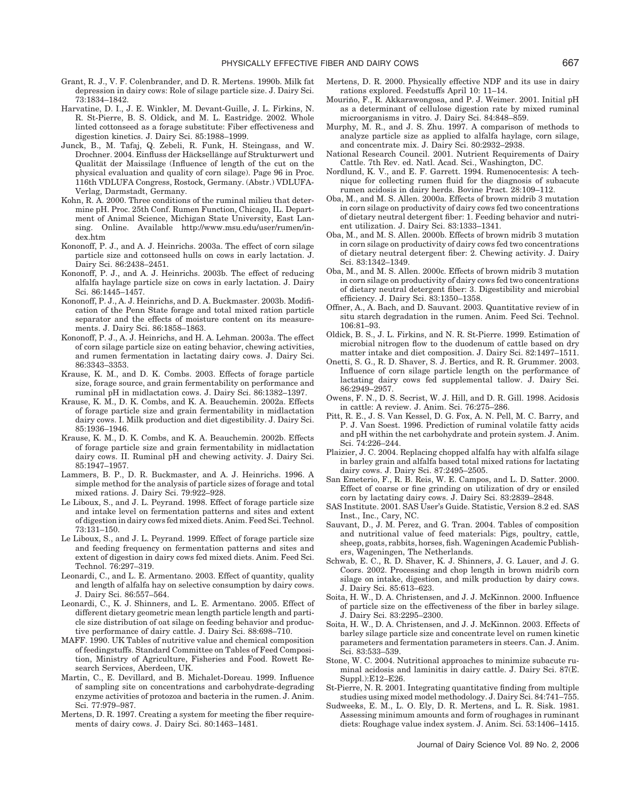- Grant, R. J., V. F. Colenbrander, and D. R. Mertens. 1990b. Milk fat depression in dairy cows: Role of silage particle size. J. Dairy Sci. 73:1834–1842.
- Harvatine, D. I., J. E. Winkler, M. Devant-Guille, J. L. Firkins, N. R. St-Pierre, B. S. Oldick, and M. L. Eastridge. 2002. Whole linted cottonseed as a forage substitute: Fiber effectiveness and digestion kinetics. J. Dairy Sci. 85:1988–1999.
- Junck, B., M. Tafaj, Q. Zebeli, R. Funk, H. Steingass, and W. Drochner. 2004. Einfluss der Häcksellänge auf Strukturwert und Qualität der Maissilage (Influence of length of the cut on the physical evaluation and quality of corn silage). Page 96 in Proc. 116th VDLUFA Congress, Rostock, Germany. (Abstr.) VDLUFA-Verlag, Darmstadt, Germany.
- Kohn, R. A. 2000. Three conditions of the ruminal milieu that determine pH. Proc. 25th Conf. Rumen Function, Chicago, IL. Department of Animal Science, Michigan State University, East Lansing. Online. Available http://www.msu.edu/user/rumen/index.htm
- Kononoff, P. J., and A. J. Heinrichs. 2003a. The effect of corn silage particle size and cottonseed hulls on cows in early lactation. J. Dairy Sci. 86:2438–2451.
- Kononoff, P. J., and A. J. Heinrichs. 2003b. The effect of reducing alfalfa haylage particle size on cows in early lactation. J. Dairy Sci. 86:1445–1457.
- Kononoff, P. J., A. J. Heinrichs, and D. A. Buckmaster. 2003b. Modification of the Penn State forage and total mixed ration particle separator and the effects of moisture content on its measurements. J. Dairy Sci. 86:1858–1863.
- Kononoff, P. J., A. J. Heinrichs, and H. A. Lehman. 2003a. The effect of corn silage particle size on eating behavior, chewing activities, and rumen fermentation in lactating dairy cows. J. Dairy Sci. 86:3343–3353.
- Krause, K. M., and D. K. Combs. 2003. Effects of forage particle size, forage source, and grain fermentability on performance and ruminal pH in midlactation cows. J. Dairy Sci. 86:1382–1397.
- Krause, K. M., D. K. Combs, and K. A. Beauchemin. 2002a. Effects of forage particle size and grain fermentability in midlactation dairy cows. I. Milk production and diet digestibility. J. Dairy Sci. 85:1936–1946.
- Krause, K. M., D. K. Combs, and K. A. Beauchemin. 2002b. Effects of forage particle size and grain fermentability in midlactation dairy cows. II. Ruminal pH and chewing activity. J. Dairy Sci. 85:1947–1957.
- Lammers, B. P., D. R. Buckmaster, and A. J. Heinrichs. 1996. A simple method for the analysis of particle sizes of forage and total mixed rations. J. Dairy Sci. 79:922–928.
- Le Liboux, S., and J. L. Peyrand. 1998. Effect of forage particle size and intake level on fermentation patterns and sites and extent of digestion in dairy cows fed mixed diets. Anim. Feed Sci. Technol. 73:131–150.
- Le Liboux, S., and J. L. Peyrand. 1999. Effect of forage particle size and feeding frequency on fermentation patterns and sites and extent of digestion in dairy cows fed mixed diets. Anim. Feed Sci. Technol. 76:297–319.
- Leonardi, C., and L. E. Armentano. 2003. Effect of quantity, quality and length of alfalfa hay on selective consumption by dairy cows. J. Dairy Sci. 86:557–564.
- Leonardi, C., K. J. Shinners, and L. E. Armentano. 2005. Effect of different dietary geometric mean length particle length and particle size distribution of oat silage on feeding behavior and productive performance of dairy cattle. J. Dairy Sci. 88:698–710.
- MAFF. 1990. UK Tables of nutritive value and chemical composition of feedingstuffs. Standard Committee on Tables of Feed Composition, Ministry of Agriculture, Fisheries and Food. Rowett Research Services, Aberdeen, UK.
- Martin, C., E. Devillard, and B. Michalet-Doreau. 1999. Influence of sampling site on concentrations and carbohydrate-degrading enzyme activities of protozoa and bacteria in the rumen. J. Anim. Sci. 77:979–987.
- Mertens, D. R. 1997. Creating a system for meeting the fiber requirements of dairy cows. J. Dairy Sci. 80:1463–1481.
- Mertens, D. R. 2000. Physically effective NDF and its use in dairy rations explored. Feedstuffs April 10: 11–14.
- Mouriño, F., R. Akkarawongosa, and P. J. Weimer. 2001. Initial pH as a determinant of cellulose digestion rate by mixed ruminal microorganisms in vitro. J. Dairy Sci. 84:848–859.
- Murphy, M. R., and J. S. Zhu. 1997. A comparison of methods to analyze particle size as applied to alfalfa haylage, corn silage, and concentrate mix. J. Dairy Sci. 80:2932–2938.
- National Research Council. 2001. Nutrient Requirements of Dairy Cattle. 7th Rev. ed. Natl. Acad. Sci., Washington, DC.
- Nordlund, K. V., and E. F. Garrett. 1994. Rumenocentesis: A technique for collecting rumen fluid for the diagnosis of subacute rumen acidosis in dairy herds. Bovine Pract. 28:109–112.
- Oba, M., and M. S. Allen. 2000a. Effects of brown midrib 3 mutation in corn silage on productivity of dairy cows fed two concentrations of dietary neutral detergent fiber: 1. Feeding behavior and nutrient utilization. J. Dairy Sci. 83:1333–1341.
- Oba, M., and M. S. Allen. 2000b. Effects of brown midrib 3 mutation in corn silage on productivity of dairy cows fed two concentrations of dietary neutral detergent fiber: 2. Chewing activity. J. Dairy Sci. 83:1342–1349.
- Oba, M., and M. S. Allen. 2000c. Effects of brown midrib 3 mutation in corn silage on productivity of dairy cows fed two concentrations of dietary neutral detergent fiber: 3. Digestibility and microbial efficiency. J. Dairy Sci. 83:1350–1358.
- Offner, A., A. Bach, and D. Sauvant. 2003. Quantitative review of in situ starch degradation in the rumen. Anim. Feed Sci. Technol. 106:81–93.
- Oldick, B. S., J. L. Firkins, and N. R. St-Pierre. 1999. Estimation of microbial nitrogen flow to the duodenum of cattle based on dry matter intake and diet composition. J. Dairy Sci. 82:1497–1511.
- Onetti, S. G., R. D. Shaver, S. J. Bertics, and R. R. Grummer. 2003. Influence of corn silage particle length on the performance of lactating dairy cows fed supplemental tallow. J. Dairy Sci. 86:2949–2957.
- Owens, F. N., D. S. Secrist, W. J. Hill, and D. R. Gill. 1998. Acidosis in cattle: A review. J. Anim. Sci. 76:275–286.
- Pitt, R. E., J. S. Van Kessel, D. G. Fox, A. N. Pell, M. C. Barry, and P. J. Van Soest. 1996. Prediction of ruminal volatile fatty acids and pH within the net carbohydrate and protein system. J. Anim. Sci. 74:226–244.
- Plaizier, J. C. 2004. Replacing chopped alfalfa hay with alfalfa silage in barley grain and alfalfa based total mixed rations for lactating dairy cows. J. Dairy Sci. 87:2495–2505.
- San Emeterio, F., R. B. Reis, W. E. Campos, and L. D. Satter. 2000. Effect of coarse or fine grinding on utilization of dry or ensiled corn by lactating dairy cows. J. Dairy Sci. 83:2839–2848.
- SAS Institute. 2001. SAS User's Guide. Statistic, Version 8.2 ed. SAS Inst., Inc., Cary, NC.
- Sauvant, D., J. M. Perez, and G. Tran. 2004. Tables of composition and nutritional value of feed materials: Pigs, poultry, cattle, sheep, goats, rabbits, horses, fish. Wageningen Academic Publishers, Wageningen, The Netherlands.
- Schwab, E. C., R. D. Shaver, K. J. Shinners, J. G. Lauer, and J. G. Coors. 2002. Processing and chop length in brown midrib corn silage on intake, digestion, and milk production by dairy cows. J. Dairy Sci. 85:613–623.
- Soita, H. W., D. A. Christensen, and J. J. McKinnon. 2000. Influence of particle size on the effectiveness of the fiber in barley silage. J. Dairy Sci. 83:2295–2300.
- Soita, H. W., D. A. Christensen, and J. J. McKinnon. 2003. Effects of barley silage particle size and concentrate level on rumen kinetic parameters and fermentation parameters in steers. Can. J. Anim. Sci. 83:533–539.
- Stone, W. C. 2004. Nutritional approaches to minimize subacute ruminal acidosis and laminitis in dairy cattle. J. Dairy Sci. 87(E. Suppl.):E12–E26.
- St-Pierre, N. R. 2001. Integrating quantitative finding from multiple studies using mixed model methodology. J. Dairy Sci. 84:741–755.
- Sudweeks, E. M., L. O. Ely, D. R. Mertens, and L. R. Sisk. 1981. Assessing minimum amounts and form of roughages in ruminant diets: Roughage value index system. J. Anim. Sci. 53:1406–1415.